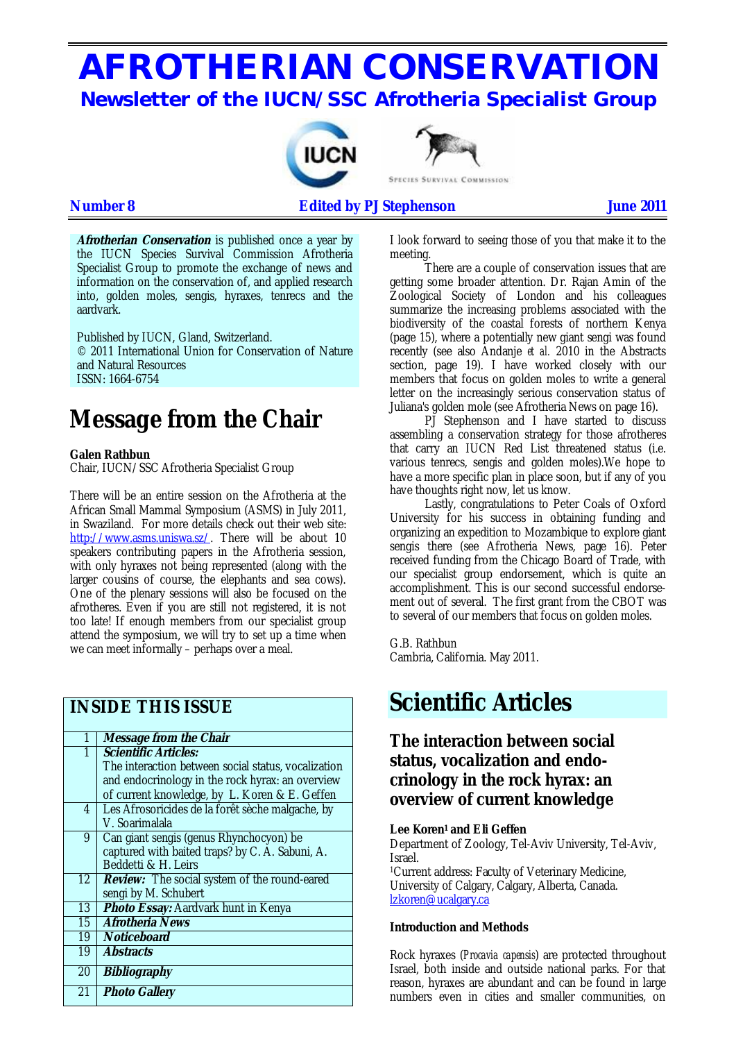# **AFROTHERIAN CONSERVATION Newsletter of the IUCN/SSC Afrotheria Specialist Group**





**Number 8 Contract Edited by PJ Stephenson Contract 2011** 

**Afrotherian Conservation** is published once a year by the IUCN Species Survival Commission Afrotheria Specialist Group to promote the exchange of news and information on the conservation of, and applied research into, golden moles, sengis, hyraxes, tenrecs and the aardvark.

Published by IUCN, Gland, Switzerland. © 2011 International Union for Conservation of Nature and Natural Resources ISSN: 1664-6754

## **Message from the Chair**

**Galen Rathbun**  Chair, IUCN/SSC Afrotheria Specialist Group

There will be an entire session on the Afrotheria at the African Small Mammal Symposium (ASMS) in July 2011, in Swaziland. For more details check out their web site: [http://www.asms.uniswa.sz/.](http://www.asms.uniswa.sz/) There will be about 10 speakers contributing papers in the Afrotheria session, with only hyraxes not being represented (along with the larger cousins of course, the elephants and sea cows). One of the plenary sessions will also be focused on the afrotheres. Even if you are still not registered, it is not too late! If enough members from our specialist group attend the symposium, we will try to set up a time when we can meet informally – perhaps over a meal.

|                 | <b>INSIDE THIS ISSUE</b>                            |
|-----------------|-----------------------------------------------------|
| 1               | Message from the Chair                              |
| 1               | Scientific Articles:                                |
|                 | The interaction between social status, vocalization |
|                 | and endocrinology in the rock hyrax: an overview    |
|                 | of current knowledge, by L. Koren & E. Geffen       |
| 4               | Les Afrosoricides de la forêt sèche malgache, by    |
|                 | V. Soarimalala                                      |
| 9               | Can giant sengis (genus Rhynchocyon) be             |
|                 | captured with baited traps? by C. A. Sabuni, A.     |
|                 | Beddetti & H. Leirs                                 |
| $\overline{12}$ | Review: The social system of the round-eared        |
|                 | sengi by M. Schubert                                |
| $\overline{13}$ | Photo Essay: Aardvark hunt in Kenya                 |
| $\overline{15}$ | <b>Afrotheria News</b>                              |
| 19              | Noticeboard                                         |
| 19              | Abstracts                                           |
| 20              | Bibliography                                        |
| 21              | <b>Photo Gallery</b>                                |

I look forward to seeing those of you that make it to the meeting.

There are a couple of conservation issues that are getting some broader attention. Dr. Rajan Amin of the Zoological Society of London and his colleagues summarize the increasing problems associated with the biodiversity of the coastal forests of northern Kenya (page 15), where a potentially new giant sengi was found recently (see also Andanje *et al.* 2010 in the Abstracts section, page 19). I have worked closely with our members that focus on golden moles to write a general letter on the increasingly serious conservation status of Juliana's golden mole (see Afrotheria News on page 16).

PJ Stephenson and I have started to discuss assembling a conservation strategy for those afrotheres that carry an IUCN Red List threatened status (i.e. various tenrecs, sengis and golden moles).We hope to have a more specific plan in place soon, but if any of you have thoughts right now, let us know.

Lastly, congratulations to Peter Coals of Oxford University for his success in obtaining funding and organizing an expedition to Mozambique to explore giant sengis there (see Afrotheria News, page 16). Peter received funding from the Chicago Board of Trade, with our specialist group endorsement, which is quite an accomplishment. This is our second successful endorsement out of several. The first grant from the CBOT was to several of our members that focus on golden moles.

G.B. Rathbun Cambria, California. May 2011.

## **Scientific Articles**

**The interaction between social status, vocalization and endocrinology in the rock hyrax: an overview of current knowledge** 

**Lee Koren<sup>1</sup> and Eli Geffen**  Department of Zoology, Tel-Aviv University, Tel-Aviv, Israel. <sup>1</sup>Current address: Faculty of Veterinary Medicine, University of Calgary, Calgary, Alberta, Canada. [lzkoren@ucalgary.ca](mailto:lzkoren@ucalgary.ca)

**Introduction and Methods** 

Rock hyraxes (*Procavia capensis*) are protected throughout Israel, both inside and outside national parks. For that reason, hyraxes are abundant and can be found in large numbers even in cities and smaller communities, on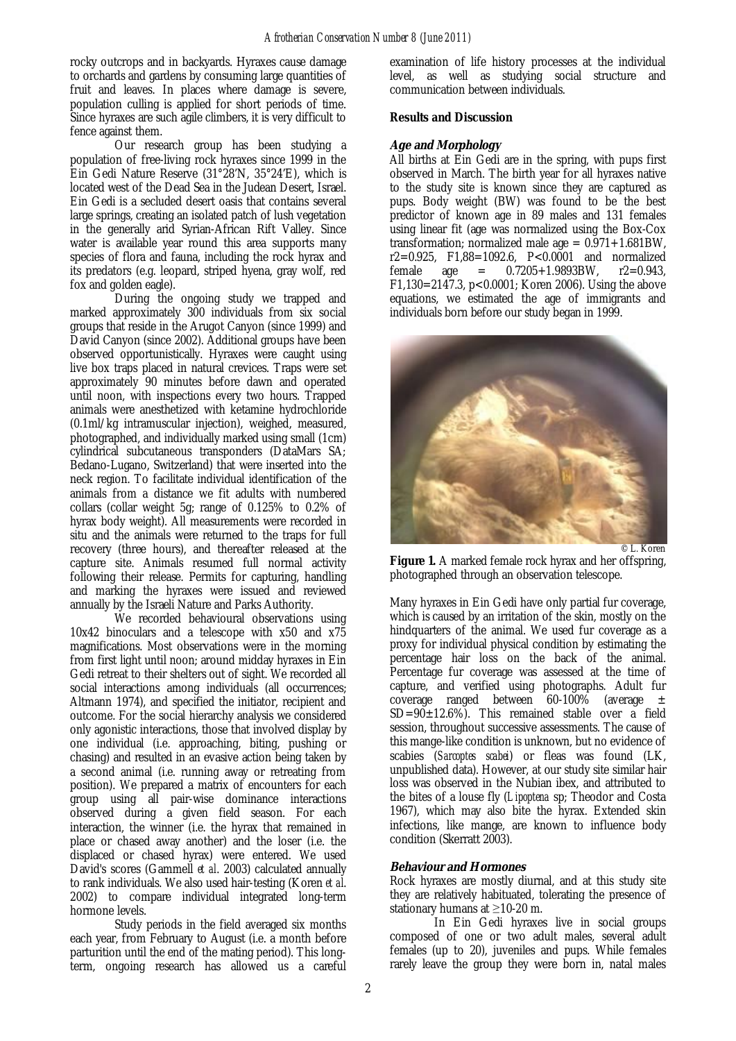rocky outcrops and in backyards. Hyraxes cause damage to orchards and gardens by consuming large quantities of fruit and leaves. In places where damage is severe, population culling is applied for short periods of time. Since hyraxes are such agile climbers, it is very difficult to fence against them.

Our research group has been studying a population of free-living rock hyraxes since 1999 in the Ein Gedi Nature Reserve (31°28'N, 35°24'E), which is located west of the Dead Sea in the Judean Desert, Israel. Ein Gedi is a secluded desert oasis that contains several large springs, creating an isolated patch of lush vegetation in the generally arid Syrian-African Rift Valley. Since water is available year round this area supports many species of flora and fauna, including the rock hyrax and its predators (e.g. leopard, striped hyena, gray wolf, red fox and golden eagle).

During the ongoing study we trapped and marked approximately 300 individuals from six social groups that reside in the Arugot Canyon (since 1999) and David Canyon (since 2002). Additional groups have been observed opportunistically. Hyraxes were caught using live box traps placed in natural crevices. Traps were set approximately 90 minutes before dawn and operated until noon, with inspections every two hours. Trapped animals were anesthetized with ketamine hydrochloride (0.1ml/kg intramuscular injection), weighed, measured, photographed, and individually marked using small (1cm) cylindrical subcutaneous transponders (DataMars SA; Bedano-Lugano, Switzerland) that were inserted into the neck region. To facilitate individual identification of the animals from a distance we fit adults with numbered collars (collar weight 5g; range of 0.125% to 0.2% of hyrax body weight). All measurements were recorded in situ and the animals were returned to the traps for full recovery (three hours), and thereafter released at the capture site. Animals resumed full normal activity following their release. Permits for capturing, handling and marking the hyraxes were issued and reviewed annually by the Israeli Nature and Parks Authority.

We recorded behavioural observations using 10x42 binoculars and a telescope with x50 and x75 magnifications. Most observations were in the morning from first light until noon; around midday hyraxes in Ein Gedi retreat to their shelters out of sight. We recorded all social interactions among individuals (all occurrences; Altmann 1974), and specified the initiator, recipient and outcome. For the social hierarchy analysis we considered only agonistic interactions, those that involved display by one individual (i.e. approaching, biting, pushing or chasing) and resulted in an evasive action being taken by a second animal (i.e. running away or retreating from position). We prepared a matrix of encounters for each group using all pair-wise dominance interactions observed during a given field season. For each interaction, the winner (i.e. the hyrax that remained in place or chased away another) and the loser (i.e. the displaced or chased hyrax) were entered. We used David's scores (Gammell *et al*. 2003) calculated annually to rank individuals. We also used hair-testing (Koren *et al*. 2002) to compare individual integrated long-term hormone levels.

Study periods in the field averaged six months each year, from February to August (i.e. a month before parturition until the end of the mating period). This longterm, ongoing research has allowed us a careful examination of life history processes at the individual level, as well as studying social structure and communication between individuals.

#### **Results and Discussion**

#### **Age and Morphology**

All births at Ein Gedi are in the spring, with pups first observed in March. The birth year for all hyraxes native to the study site is known since they are captured as pups. Body weight (BW) was found to be the best predictor of known age in 89 males and 131 females using linear fit (age was normalized using the Box-Cox transformation; normalized male age =  $0.971 + 1.681BW$ , r2=0.925, F1,88=1092.6, P<0.0001 and normalized female age =  $0.7205+1.9893BW$ ,  $r2=0.943$ , F1,130=2147.3, p<0.0001; Koren 2006). Using the above equations, we estimated the age of immigrants and individuals born before our study began in 1999.



**Figure 1.** A marked female rock hyrax and her offspring, photographed through an observation telescope.

Many hyraxes in Ein Gedi have only partial fur coverage, which is caused by an irritation of the skin, mostly on the hindquarters of the animal. We used fur coverage as a proxy for individual physical condition by estimating the percentage hair loss on the back of the animal. Percentage fur coverage was assessed at the time of capture, and verified using photographs. Adult fur coverage ranged between 60-100% (average  $\pm$  $SD=90±12.6%$ . This remained stable over a field session, throughout successive assessments. The cause of this mange-like condition is unknown, but no evidence of scabies (*Sarcoptes scabei*) or fleas was found (LK, unpublished data). However, at our study site similar hair loss was observed in the Nubian ibex, and attributed to the bites of a louse fly (*Lipoptena* sp; Theodor and Costa 1967), which may also bite the hyrax. Extended skin infections, like mange, are known to influence body condition (Skerratt 2003).

#### **Behaviour and Hormones**

Rock hyraxes are mostly diurnal, and at this study site they are relatively habituated, tolerating the presence of stationary humans at  $\geq$ 10-20 m.

In Ein Gedi hyraxes live in social groups composed of one or two adult males, several adult females (up to 20), juveniles and pups. While females rarely leave the group they were born in, natal males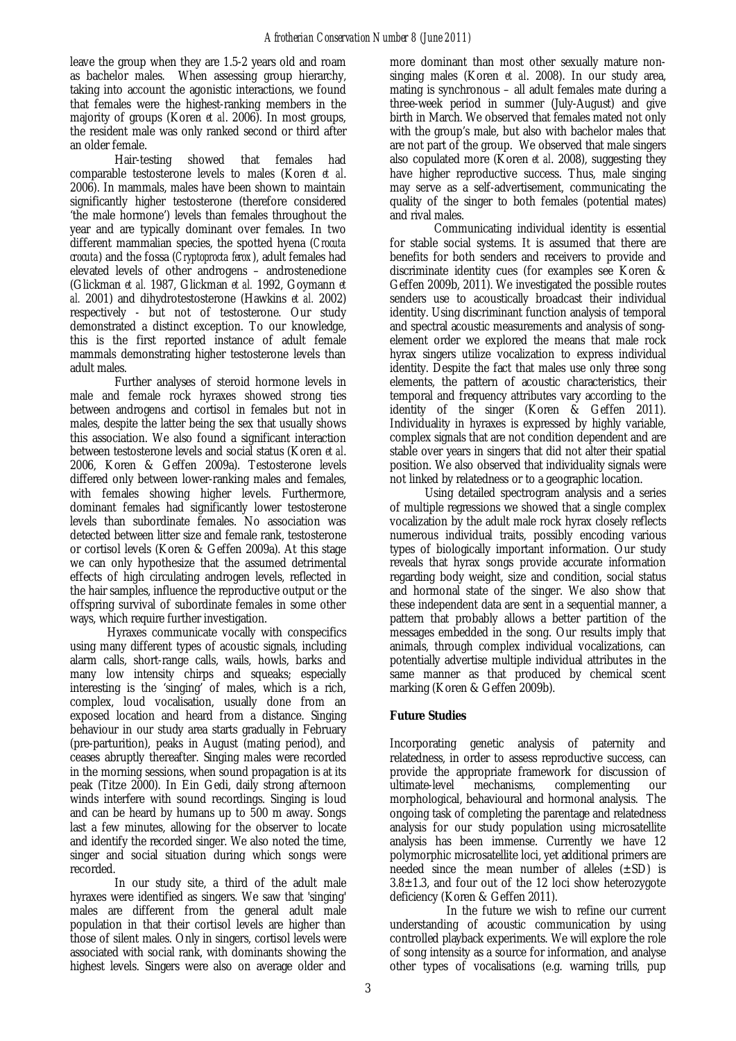leave the group when they are 1.5-2 years old and roam as bachelor males. When assessing group hierarchy, taking into account the agonistic interactions, we found that females were the highest-ranking members in the majority of groups (Koren *et al*. 2006). In most groups, the resident male was only ranked second or third after an older female.

Hair-testing showed that females had comparable testosterone levels to males (Koren *et al*. 2006). In mammals, males have been shown to maintain significantly higher testosterone (therefore considered 'the male hormone') levels than females throughout the year and are typically dominant over females. In two different mammalian species, the spotted hyena (*Crocuta crocuta*) and the fossa (*Cryptoprocta ferox*), adult females had elevated levels of other androgens – androstenedione (Glickman *et al.* 1987, Glickman *et al.* 1992, Goymann *et al.* 2001) and dihydrotestosterone (Hawkins *et al.* 2002) respectively - but not of testosterone. Our study demonstrated a distinct exception. To our knowledge, this is the first reported instance of adult female mammals demonstrating higher testosterone levels than adult males.

Further analyses of steroid hormone levels in male and female rock hyraxes showed strong ties between androgens and cortisol in females but not in males, despite the latter being the sex that usually shows this association. We also found a significant interaction between testosterone levels and social status (Koren *et al*. 2006, Koren & Geffen 2009a). Testosterone levels differed only between lower-ranking males and females, with females showing higher levels. Furthermore, dominant females had significantly lower testosterone levels than subordinate females. No association was detected between litter size and female rank, testosterone or cortisol levels (Koren & Geffen 2009a). At this stage we can only hypothesize that the assumed detrimental effects of high circulating androgen levels, reflected in the hair samples, influence the reproductive output or the offspring survival of subordinate females in some other ways, which require further investigation.

Hyraxes communicate vocally with conspecifics using many different types of acoustic signals, including alarm calls, short-range calls, wails, howls, barks and many low intensity chirps and squeaks; especially interesting is the 'singing' of males, which is a rich, complex, loud vocalisation, usually done from an exposed location and heard from a distance. Singing behaviour in our study area starts gradually in February (pre-parturition), peaks in August (mating period), and ceases abruptly thereafter. Singing males were recorded in the morning sessions, when sound propagation is at its peak (Titze 2000). In Ein Gedi, daily strong afternoon winds interfere with sound recordings. Singing is loud and can be heard by humans up to 500 m away. Songs last a few minutes, allowing for the observer to locate and identify the recorded singer. We also noted the time, singer and social situation during which songs were recorded.

In our study site, a third of the adult male hyraxes were identified as singers. We saw that 'singing' males are different from the general adult male population in that their cortisol levels are higher than those of silent males. Only in singers, cortisol levels were associated with social rank, with dominants showing the highest levels. Singers were also on average older and

more dominant than most other sexually mature nonsinging males (Koren *et al*. 2008). In our study area, mating is synchronous – all adult females mate during a three-week period in summer (July-August) and give birth in March. We observed that females mated not only with the group's male, but also with bachelor males that are not part of the group. We observed that male singers also copulated more (Koren *et al*. 2008), suggesting they have higher reproductive success. Thus, male singing may serve as a self-advertisement, communicating the quality of the singer to both females (potential mates) and rival males.

Communicating individual identity is essential for stable social systems. It is assumed that there are benefits for both senders and receivers to provide and discriminate identity cues (for examples see Koren & Geffen 2009b, 2011). We investigated the possible routes senders use to acoustically broadcast their individual identity. Using discriminant function analysis of temporal and spectral acoustic measurements and analysis of songelement order we explored the means that male rock hyrax singers utilize vocalization to express individual identity. Despite the fact that males use only three song elements, the pattern of acoustic characteristics, their temporal and frequency attributes vary according to the identity of the singer (Koren & Geffen 2011). Individuality in hyraxes is expressed by highly variable, complex signals that are not condition dependent and are stable over years in singers that did not alter their spatial position. We also observed that individuality signals were not linked by relatedness or to a geographic location.

Using detailed spectrogram analysis and a series of multiple regressions we showed that a single complex vocalization by the adult male rock hyrax closely reflects numerous individual traits, possibly encoding various types of biologically important information. Our study reveals that hyrax songs provide accurate information regarding body weight, size and condition, social status and hormonal state of the singer. We also show that these independent data are sent in a sequential manner, a pattern that probably allows a better partition of the messages embedded in the song. Our results imply that animals, through complex individual vocalizations, can potentially advertise multiple individual attributes in the same manner as that produced by chemical scent marking (Koren & Geffen 2009b).

#### **Future Studies**

Incorporating genetic analysis of paternity and relatedness, in order to assess reproductive success, can provide the appropriate framework for discussion of complementing our morphological, behavioural and hormonal analysis. The ongoing task of completing the parentage and relatedness analysis for our study population using microsatellite analysis has been immense. Currently we have 12 polymorphic microsatellite loci, yet additional primers are needed since the mean number of alleles  $(\pm SD)$  is  $3.8 \pm 1.3$ , and four out of the 12 loci show heterozygote deficiency (Koren & Geffen 2011).

In the future we wish to refine our current understanding of acoustic communication by using controlled playback experiments. We will explore the role of song intensity as a source for information, and analyse other types of vocalisations (e.g. warning trills, pup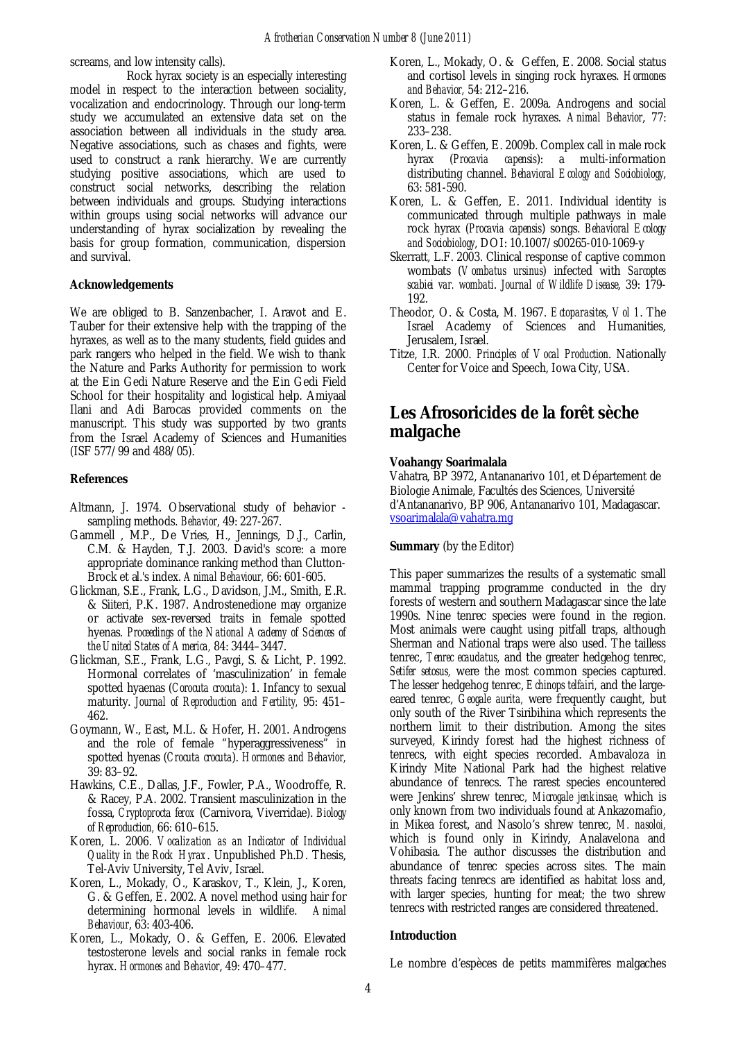screams, and low intensity calls).

Rock hyrax society is an especially interesting model in respect to the interaction between sociality, vocalization and endocrinology. Through our long-term study we accumulated an extensive data set on the association between all individuals in the study area. Negative associations, such as chases and fights, were used to construct a rank hierarchy. We are currently studying positive associations, which are used to construct social networks, describing the relation between individuals and groups. Studying interactions within groups using social networks will advance our understanding of hyrax socialization by revealing the basis for group formation, communication, dispersion and survival.

#### **Acknowledgements**

We are obliged to B. Sanzenbacher, I. Aravot and E. Tauber for their extensive help with the trapping of the hyraxes, as well as to the many students, field guides and park rangers who helped in the field. We wish to thank the Nature and Parks Authority for permission to work at the Ein Gedi Nature Reserve and the Ein Gedi Field School for their hospitality and logistical help. Amiyaal Ilani and Adi Barocas provided comments on the manuscript. This study was supported by two grants from the Israel Academy of Sciences and Humanities (ISF 577/99 and 488/05).

#### **References**

- Altmann, J. 1974. Observational study of behavior sampling methods. *Behavior*, 49: 227-267.
- Gammell , M.P., De Vries, H., Jennings, D.J., Carlin, C.M. & Hayden, T.J. 2003. David's score: a more appropriate dominance ranking method than Clutton-Brock et al.'s index. *Animal Behaviour,* 66: 601-605.
- Glickman, S.E., Frank, L.G., Davidson, J.M., Smith, E.R. & Siiteri, P.K. 1987. Androstenedione may organize or activate sex-reversed traits in female spotted hyenas. *Proceedings of the National Academy of Sciences of the United States of America,* 84: 3444–3447.
- Glickman, S.E., Frank, L.G., Pavgi, S. & Licht, P. 1992. Hormonal correlates of 'masculinization' in female spotted hyaenas (*Corocuta crocuta*): 1. Infancy to sexual maturity. *Journal of Reproduction and Fertility,* 95: 451– 462.
- Goymann, W., East, M.L. & Hofer, H. 2001. Androgens and the role of female "hyperaggressiveness" in spotted hyenas (*Crocuta crocuta*). *Hormones and Behavior,* 39: 83–92.
- Hawkins, C.E., Dallas, J.F., Fowler, P.A., Woodroffe, R. & Racey, P.A. 2002. Transient masculinization in the fossa, *Cryptoprocta ferox* (Carnivora, Viverridae). *Biology of Reproduction,* 66: 610–615.
- Koren, L. 2006. *Vocalization as an Indicator of Individual Quality in the Rock Hyrax*. Unpublished Ph.D. Thesis, Tel-Aviv University, Tel Aviv, Israel.
- Koren, L., Mokady, O., Karaskov, T., Klein, J., Koren, G. & Geffen, E. 2002. A novel method using hair for determining hormonal levels in wildlife. *Animal Behaviour*, 63: 403-406.
- Koren, L., Mokady, O. & Geffen, E. 2006. Elevated testosterone levels and social ranks in female rock hyrax. *Hormones and Behavior*, 49: 470–477.
- Koren, L., Mokady, O. & Geffen, E. 2008. Social status and cortisol levels in singing rock hyraxes. *Hormones and Behavior,* 54: 212–216.
- Koren, L. & Geffen, E. 2009a. Androgens and social status in female rock hyraxes. *Animal Behavior*, 77: 233–238.
- Koren, L. & Geffen, E. 2009b. Complex call in male rock hyrax (*Procavia capensis*): a multi-information distributing channel. *Behavioral Ecology and Sociobiology*, 63: 581-590.
- Koren, L. & Geffen, E. 2011. Individual identity is communicated through multiple pathways in male rock hyrax (*Procavia capensis*) songs. *Behavioral Ecology and Sociobiology*, DOI: 10.1007/s00265-010-1069-y
- Skerratt, L.F. 2003. Clinical response of captive common wombats (*Vombatus ursinus*) infected with *Sarcoptes scabiei var. wombati*. *Journal of Wildlife Disease*, 39: 179- 192.
- Theodor, O. & Costa, M. 1967. *Ectoparasites, Vol 1*. The Israel Academy of Sciences and Humanities, Jerusalem, Israel.
- Titze, I.R. 2000. *Principles of Vocal Production*. Nationally Center for Voice and Speech, Iowa City, USA.

### **Les Afrosoricides de la forêt sèche malgache**

#### **Voahangy Soarimalala**

Vahatra, BP 3972, Antananarivo 101, et Département de Biologie Animale, Facultés des Sciences, Université d'Antananarivo, BP 906, Antananarivo 101, Madagascar. [vsoarimalala@vahatra.mg](mailto:vsoarimalala@vahatra.mg)

#### **Summary** (by the Editor)

This paper summarizes the results of a systematic small mammal trapping programme conducted in the dry forests of western and southern Madagascar since the late 1990s. Nine tenrec species were found in the region. Most animals were caught using pitfall traps, although Sherman and National traps were also used. The tailless tenrec, *Tenrec ecaudatus,* and the greater hedgehog tenrec, *Setifer setosus,* were the most common species captured. The lesser hedgehog tenrec, *Echinops telfairi,* and the largeeared tenrec, *Geogale aurita,* were frequently caught, but only south of the River Tsiribihina which represents the northern limit to their distribution. Among the sites surveyed, Kirindy forest had the highest richness of tenrecs, with eight species recorded. Ambavaloza in Kirindy Mite National Park had the highest relative abundance of tenrecs. The rarest species encountered were Jenkins' shrew tenrec, *Microgale jenkinsae,* which is only known from two individuals found at Ankazomafio, in Mikea forest, and Nasolo's shrew tenrec, *M. nasoloi,* which is found only in Kirindy, Analavelona and Vohibasia. The author discusses the distribution and abundance of tenrec species across sites. The main threats facing tenrecs are identified as habitat loss and, with larger species, hunting for meat; the two shrew tenrecs with restricted ranges are considered threatened.

#### **Introduction**

Le nombre d'espèces de petits mammifères malgaches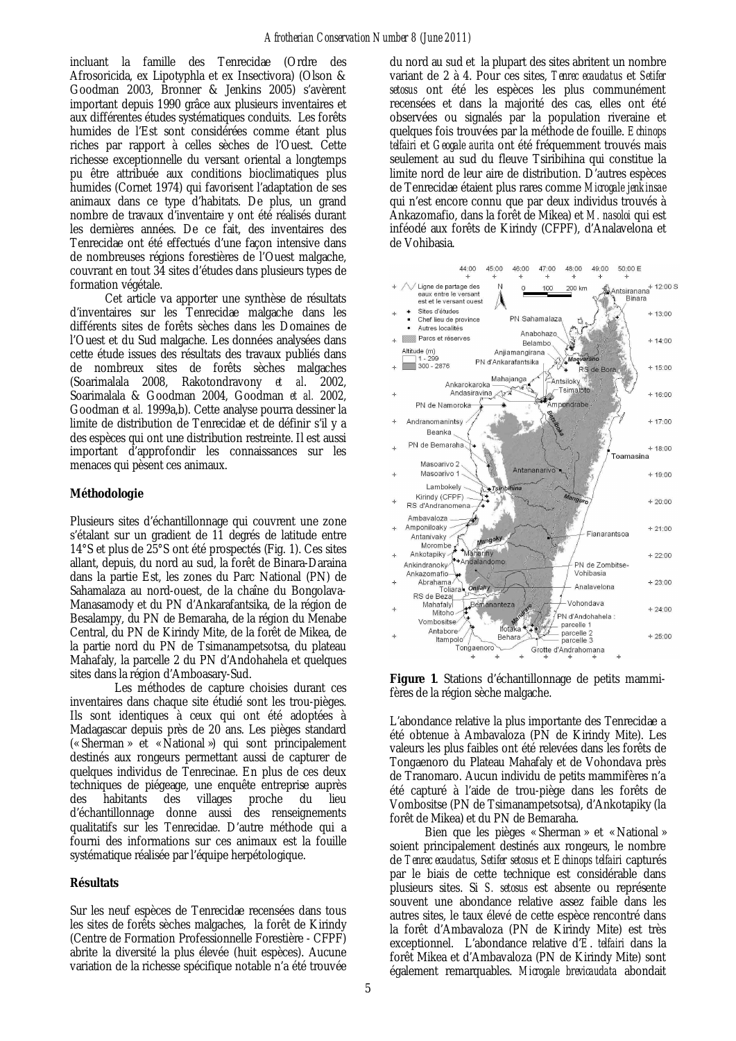incluant la famille des Tenrecidae (Ordre des Afrosoricida, ex Lipotyphla et ex Insectivora) (Olson & Goodman 2003, Bronner & Jenkins 2005) s'avèrent important depuis 1990 grâce aux plusieurs inventaires et aux différentes études systématiques conduits. Les forêts humides de l'Est sont considérées comme étant plus riches par rapport à celles sèches de l'Ouest. Cette richesse exceptionnelle du versant oriental a longtemps pu être attribuée aux conditions bioclimatiques plus humides (Cornet 1974) qui favorisent l'adaptation de ses animaux dans ce type d'habitats. De plus, un grand nombre de travaux d'inventaire y ont été réalisés durant les dernières années. De ce fait, des inventaires des Tenrecidae ont été effectués d'une façon intensive dans de nombreuses régions forestières de l'Ouest malgache, couvrant en tout 34 sites d'études dans plusieurs types de formation végétale.

Cet article va apporter une synthèse de résultats d'inventaires sur les Tenrecidae malgache dans les différents sites de forêts sèches dans les Domaines de l'Ouest et du Sud malgache. Les données analysées dans cette étude issues des résultats des travaux publiés dans de nombreux sites de forêts sèches malgaches (Soarimalala 2008, Rakotondravony *et al*. 2002, Soarimalala & Goodman 2004, Goodman *et al.* 2002, Goodman *et al.* 1999a,b). Cette analyse pourra dessiner la limite de distribution de Tenrecidae et de définir s'il y a des espèces qui ont une distribution restreinte. Il est aussi important d'approfondir les connaissances sur les menaces qui pèsent ces animaux.

#### **Méthodologie**

Plusieurs sites d'échantillonnage qui couvrent une zone s'étalant sur un gradient de 11 degrés de latitude entre 14°S et plus de 25°S ont été prospectés (Fig. 1). Ces sites allant, depuis, du nord au sud, la forêt de Binara-Daraina dans la partie Est, les zones du Parc National (PN) de Sahamalaza au nord-ouest, de la chaîne du Bongolava-Manasamody et du PN d'Ankarafantsika, de la région de Besalampy, du PN de Bemaraha, de la région du Menabe Central, du PN de Kirindy Mite, de la forêt de Mikea, de la partie nord du PN de Tsimanampetsotsa, du plateau Mahafaly, la parcelle 2 du PN d'Andohahela et quelques sites dans la région d'Amboasary-Sud.

Les méthodes de capture choisies durant ces inventaires dans chaque site étudié sont les trou-pièges. Ils sont identiques à ceux qui ont été adoptées à Madagascar depuis près de 20 ans. Les pièges standard (« Sherman » et « National ») qui sont principalement destinés aux rongeurs permettant aussi de capturer de quelques individus de Tenrecinae. En plus de ces deux techniques de piégeage, une enquête entreprise auprès des habitants des villages proche du lieu d'échantillonnage donne aussi des renseignements qualitatifs sur les Tenrecidae. D'autre méthode qui a fourni des informations sur ces animaux est la fouille systématique réalisée par l'équipe herpétologique.

#### **Résultats**

Sur les neuf espèces de Tenrecidae recensées dans tous les sites de forêts sèches malgaches, la forêt de Kirindy (Centre de Formation Professionnelle Forestière - CFPF) abrite la diversité la plus élevée (huit espèces). Aucune variation de la richesse spécifique notable n'a été trouvée

du nord au sud et la plupart des sites abritent un nombre variant de 2 à 4. Pour ces sites, *Tenrec ecaudatus* et *Setifer setosus* ont été les espèces les plus communément recensées et dans la majorité des cas, elles ont été observées ou signalés par la population riveraine et quelques fois trouvées par la méthode de fouille. *Echinops telfairi* et *Geogale aurita* ont été fréquemment trouvés mais seulement au sud du fleuve Tsiribihina qui constitue la limite nord de leur aire de distribution. D'autres espèces de Tenrecidae étaient plus rares comme *Microgale jenkinsae* qui n'est encore connu que par deux individus trouvés à Ankazomafio, dans la forêt de Mikea) et *M. nasoloi* qui est inféodé aux forêts de Kirindy (CFPF), d'Analavelona et de Vohibasia.



**Figure 1**. Stations d'échantillonnage de petits mammifères de la région sèche malgache.

L'abondance relative la plus importante des Tenrecidae a été obtenue à Ambavaloza (PN de Kirindy Mite). Les valeurs les plus faibles ont été relevées dans les forêts de Tongaenoro du Plateau Mahafaly et de Vohondava près de Tranomaro. Aucun individu de petits mammifères n'a été capturé à l'aide de trou-piège dans les forêts de Vombositse (PN de Tsimanampetsotsa), d'Ankotapiky (la forêt de Mikea) et du PN de Bemaraha.

Bien que les pièges « Sherman » et « National » soient principalement destinés aux rongeurs, le nombre de *Tenrec ecaudatus*, *Setifer setosus* et *Echinops telfairi* capturés par le biais de cette technique est considérable dans plusieurs sites. Si *S. setosus* est absente ou représente souvent une abondance relative assez faible dans les autres sites, le taux élevé de cette espèce rencontré dans la forêt d'Ambavaloza (PN de Kirindy Mite) est très exceptionnel. L'abondance relative d'*E*. *telfairi* dans la forêt Mikea et d'Ambavaloza (PN de Kirindy Mite) sont également remarquables. *Microgale brevicaudata* abondait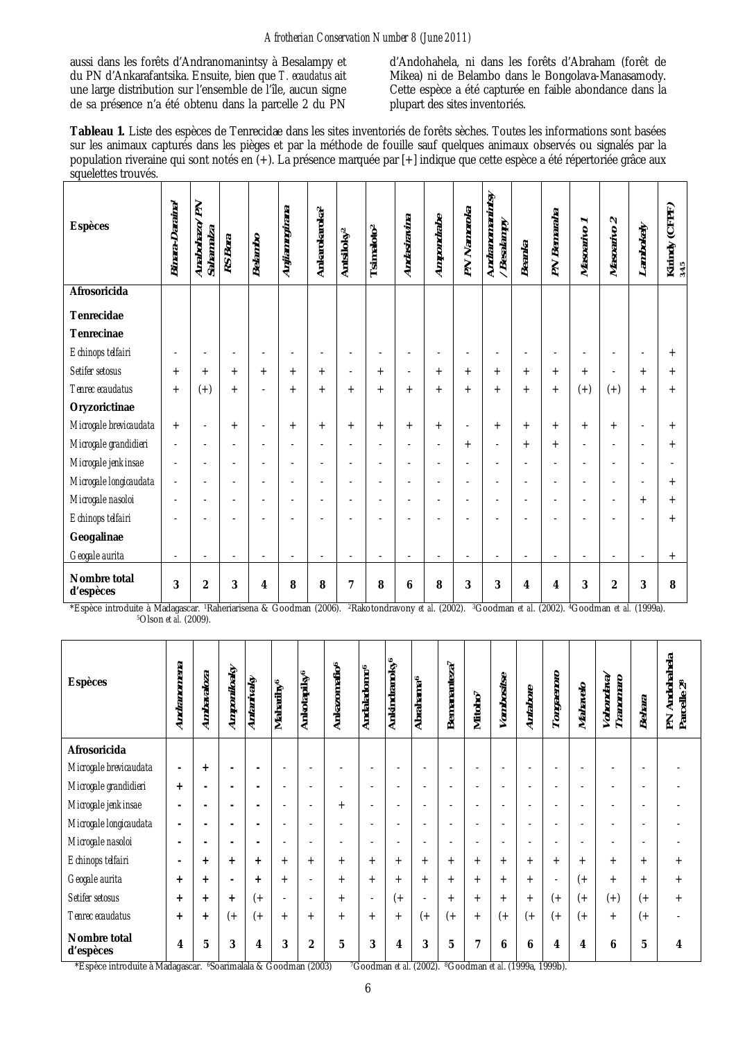aussi dans les forêts d'Andranomanintsy à Besalampy et du PN d'Ankarafantsika. Ensuite, bien que *T. ecaudatus* ait une large distribution sur l'ensemble de l'île, aucun signe de sa présence n'a été obtenu dans la parcelle 2 du PN d'Andohahela, ni dans les forêts d'Abraham (forêt de Mikea) ni de Belambo dans le Bongolava-Manasamody. Cette espèce a été capturée en faible abondance dans la plupart des sites inventoriés.

**Tableau 1.** Liste des espèces de Tenrecidae dans les sites inventoriés de forêts sèches. Toutes les informations sont basées sur les animaux capturés dans les pièges et par la méthode de fouille sauf quelques animaux observés ou signalés par la population riveraine qui sont notés en (+). La présence marquée par [+] indique que cette espèce a été répertoriée grâce aux squelettes trouvés.

| Espèces                   | Binara-Daraina <sup>r</sup> | Anabohazo/PN<br>Sahamalza | RS Bora | Belambo        | Anjiamngirana | Ankarokaroka <sup>2</sup> | Antsiloky <sup>2</sup>   | Tsimaloto <sup>2</sup> | Andasiravina | Ampondrabe | PN Namoroka              | Andranomanintsy<br>Besalampy | Beanka | Bemaraha<br>ΡN           | $\overline{ }$<br>Masoarivo | $\mathcal{L}$<br>Masoarivo | Lambokely | (CFPF)<br>Kirindy<br>3,4,5 |
|---------------------------|-----------------------------|---------------------------|---------|----------------|---------------|---------------------------|--------------------------|------------------------|--------------|------------|--------------------------|------------------------------|--------|--------------------------|-----------------------------|----------------------------|-----------|----------------------------|
| Afrosoricida              |                             |                           |         |                |               |                           |                          |                        |              |            |                          |                              |        |                          |                             |                            |           |                            |
| Tenrecidae                |                             |                           |         |                |               |                           |                          |                        |              |            |                          |                              |        |                          |                             |                            |           |                            |
| Tenrecinae                |                             |                           |         |                |               |                           |                          |                        |              |            |                          |                              |        |                          |                             |                            |           |                            |
| Echinops telfairi         | ۰                           |                           | ٠       |                |               |                           | ٠                        | ۰                      |              |            | ٠                        |                              |        |                          | ٠                           |                            |           |                            |
| Setifer setosus           | $+$                         | $+$                       | $+$     | $+$            | $^{+}$        | $+$                       | $\sim$                   | $+$                    | ٠            | $+$        | $+$                      | $+$                          | $+$    | $^{+}$                   | $+$                         | $\sim$                     | $+$       |                            |
| Tenrec ecaudatus          | $^{+}$                      | $(+)$                     | $^{+}$  | ٠              | $+$           | $^{+}$                    | $^{+}$                   | $^{+}$                 | $+$          | $+$        | $+$                      | $^{+}$                       | $+$    | $^{+}$                   | $(+)$                       | $(+)$                      | $^{+}$    | $\ddot{}$                  |
| Oryzorictinae             |                             |                           |         |                |               |                           |                          |                        |              |            |                          |                              |        |                          |                             |                            |           |                            |
| Microgale brevicaudata    | $+$                         |                           | $^{+}$  | ٠              | $^{+}$        | $^{+}$                    | $^{+}$                   | $+$                    | $+$          | $+$        | $\overline{\phantom{a}}$ | $+$                          | $+$    | $^{+}$                   | $+$                         | $+$                        | ÷         |                            |
| Microgale grandidieri     |                             |                           | ٠       | ۰              | ٠             |                           | ٠                        | ٠                      | ٠            |            | $+$                      | ٠                            | $+$    | $^{+}$                   | ٠                           | ٠                          | ٠         |                            |
| Microgale jenkinsae       | ٠                           | ä,                        | ٠       | ٠              | ä,            | ٠                         | $\sim$                   | $\sim$                 | ٠            | ä,         | ÷,                       | $\sim$                       | ä,     | ÷.                       | ٠                           | $\sim$                     | ä,        |                            |
| Microgale longicaudata    | ä,                          |                           | ۰       | ۰              | ٠             |                           | $\overline{\phantom{a}}$ | ٠                      | ٠            | ٠          | $\overline{a}$           | ٠                            | ۰      | $\overline{\phantom{a}}$ | ٠                           | ٠                          | ٠         |                            |
| Microgale nasoloi         |                             |                           | ٠       |                |               |                           | ٠                        | ٠                      | ä,           |            | ä,                       |                              |        |                          | ٠                           | ٠                          | $^{+}$    |                            |
| Echinops telfairi         | ÷.                          |                           | ÷.      | $\overline{a}$ |               |                           | ÷,                       | ×.                     | ä,           |            | ä,                       | ÷.                           | ä,     |                          | ä,                          | $\overline{a}$             | ÷,        | $+$                        |
| Geogalinae                |                             |                           |         |                |               |                           |                          |                        |              |            |                          |                              |        |                          |                             |                            |           |                            |
| Geogale aurita            | $\overline{a}$              | ٠                         | ÷.      | ٠              | ٠             | ٠                         | $\overline{a}$           | ÷                      | ä,           | ÷          | ÷                        | ÷                            | ä,     | ٠                        | ÷.                          | ٠                          |           | $^{+}$                     |
| Nombre total<br>d'espèces | 3                           | 2                         | 3       | 4              | 8             | 8                         | $\overline{7}$           | 8                      | 6            | 8          | 3                        | 3                            | 4      | 4                        | 3                           | $\overline{2}$             | 3         | 8                          |

\*Espèce introduite à Madagascar. 1Raheriarisena & Goodman (2006). 2Rakotondravony *et al*. (2002). 3Goodman *et al*. (2002). 4Goodman *et al.* (1999a). <sup>5</sup>Olson *et al.* (2009).

| Espèces                                                                                                                    | Andranomena | Ambavaloza               | Amponiloaky              | Antanivaky | Maharihy <sup>6</sup>    | Ankotapiky <sup>6</sup> | Ankazomafio <sup>6</sup> | Andaladomo <sup>6</sup>  | Ankindranoky <sup>6</sup> | Abrahama <sup>6</sup>                | Bemananteza <sup>7</sup> | Mitoho <sup>7</sup>                               | Vombositse               | Antabore                 | Tongaenoro | Mahavelo | Vohondava.<br>Tranomaro | Behara                   | Andohahela<br>2 <sup>8</sup><br>Parcelle:<br>$\mathbb{Z}^{\mathsf{C}}$ |
|----------------------------------------------------------------------------------------------------------------------------|-------------|--------------------------|--------------------------|------------|--------------------------|-------------------------|--------------------------|--------------------------|---------------------------|--------------------------------------|--------------------------|---------------------------------------------------|--------------------------|--------------------------|------------|----------|-------------------------|--------------------------|------------------------------------------------------------------------|
| Afrosoricida                                                                                                               |             |                          |                          |            |                          |                         |                          |                          |                           |                                      |                          |                                                   |                          |                          |            |          |                         |                          |                                                                        |
| Microgale brevicaudata                                                                                                     |             | $+$                      |                          |            |                          |                         |                          |                          |                           | ٠                                    |                          |                                                   |                          |                          |            |          |                         |                          |                                                                        |
| Microgale grandidieri                                                                                                      | $+$         | $\overline{\phantom{a}}$ | ٠                        | ۰          | $\overline{\phantom{a}}$ | ٠                       | -                        | $\overline{\phantom{a}}$ | ٠                         | $\sim$                               | ٠                        | <b>.</b>                                          | $\overline{\phantom{a}}$ | $\overline{\phantom{a}}$ |            |          | ٠                       | ٠                        |                                                                        |
| Microgale jenkinsae                                                                                                        | ٠           |                          | $\overline{\phantom{a}}$ | ۰          | $\overline{\phantom{a}}$ | ٠                       | $+$                      | $\sim$                   | ٠                         | $\sim$                               | $\overline{\phantom{a}}$ | $\overline{\phantom{a}}$                          |                          |                          |            |          | ٠                       | $\overline{\phantom{a}}$ |                                                                        |
| Microgale longicaudata                                                                                                     |             |                          | ٠                        |            |                          |                         |                          | $\overline{\phantom{a}}$ |                           | ٠                                    |                          |                                                   |                          |                          |            |          |                         | $\overline{\phantom{a}}$ |                                                                        |
| Microgale nasoloi                                                                                                          |             |                          | -                        |            |                          |                         |                          | $\overline{\phantom{a}}$ |                           | ٠                                    |                          |                                                   |                          |                          |            |          | ٠                       | ٠                        |                                                                        |
| Echinops telfairi                                                                                                          |             | $+$                      | $+$                      | $\ddot{}$  | $+$                      | $+$                     | $+$                      | $+$                      | $+$                       | $+$                                  | $+$                      | $+$                                               | $+$                      | $+$                      | $+$        | $^{+}$   | $+$                     | $+$                      | $^{+}$                                                                 |
| Geogale aurita                                                                                                             | $+$         | $+$                      | ۰                        | $+$        | $+$                      | ÷                       | $+$                      | $+$                      | $+$                       | $+$                                  | $+$                      | $+$                                               | $+$                      | $+$                      |            | $+$      | $+$                     | $+$                      | $^{+}$                                                                 |
| Setifer setosus                                                                                                            | $^{+}$      | $+$                      | $^{+}$                   | $\ddot{}$  | $\sim$                   |                         | $+$                      | $\overline{\phantom{a}}$ | $+$                       | $\sim$                               | $+$                      | $+$                                               | $^{+}$                   | $+$                      | $(+$       | $^{+}$   | $^{(+)}$                | $^{+}$                   | $^{+}$                                                                 |
| Tenrec ecaudatus                                                                                                           | $^{+}$      | $+$                      | $\ddot{}$                | $^{+}$     | $+$                      | $+$                     | $+$                      | $+$                      | $+$                       | $+$                                  | $^{+}$                   | $+$                                               | $^{(+)}$                 | $^{(+)}$                 | $(+$       | $+$      | $+$                     | $^{+}$                   |                                                                        |
| Nombre total<br>d'espèces<br>$*_{\text{Enòco intraduito à Modenceer}}$ <sup>6</sup> Carimalolo <sub>8</sub> Coodman (2002) | 4           | 5                        | 3                        | 4          | 3                        | 2                       | 5                        | 3                        | 4                         | 3<br>$TC$ codman <i>at al (2002)</i> | 5                        | $\overline{ }$<br>$R$ coodman at al (10000 1000b) | 6                        | 6                        | 4          | 4        | 6                       | 5                        | 4                                                                      |

\*Espèce introduite à Madagascar. 6Soarimalala & Goodman (2003) 7Goodman *et al*. (2002).

<sup>7</sup>Goodman *et al*. (2002). <sup>8</sup>Goodman *et al*. (1999a, 1999b).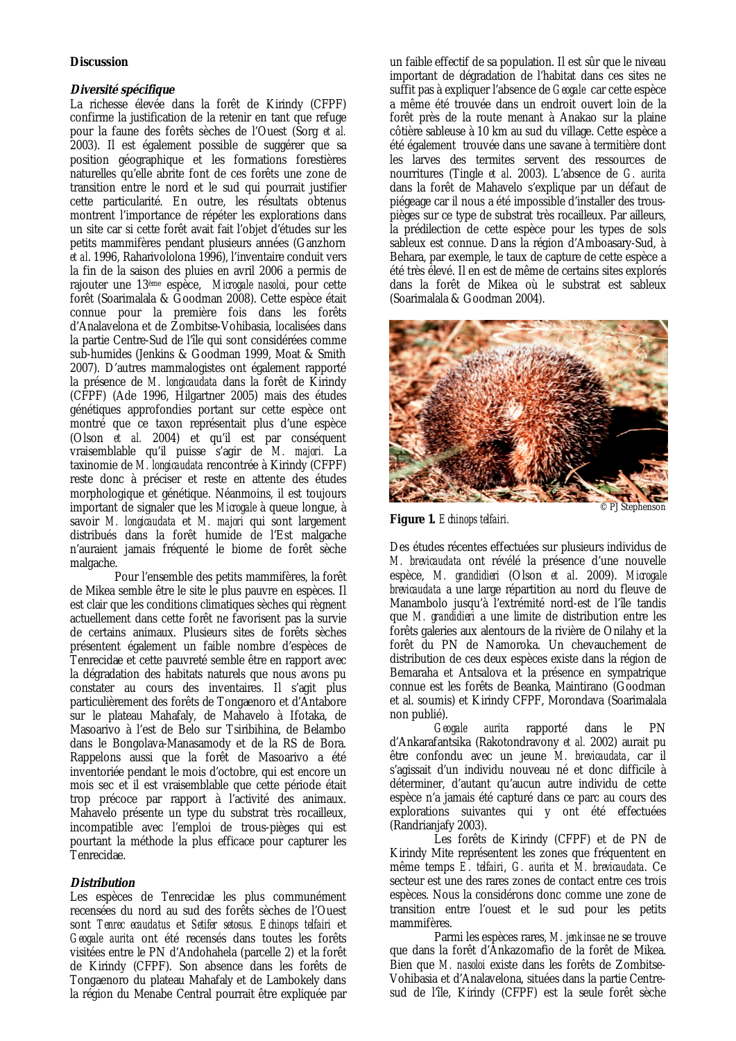#### **Discussion**

#### **Diversité spécifique**

La richesse élevée dans la forêt de Kirindy (CFPF) confirme la justification de la retenir en tant que refuge pour la faune des forêts sèches de l'Ouest (Sorg *et al.* 2003). Il est également possible de suggérer que sa position géographique et les formations forestières naturelles qu'elle abrite font de ces forêts une zone de transition entre le nord et le sud qui pourrait justifier cette particularité. En outre, les résultats obtenus montrent l'importance de répéter les explorations dans un site car si cette forêt avait fait l'objet d'études sur les petits mammifères pendant plusieurs années (Ganzhorn *et al*. 1996, Raharivololona 1996), l'inventaire conduit vers la fin de la saison des pluies en avril 2006 a permis de rajouter une 13ème espèce, *Microgale nasoloi*, pour cette forêt (Soarimalala & Goodman 2008). Cette espèce était connue pour la première fois dans les forêts d'Analavelona et de Zombitse-Vohibasia, localisées dans la partie Centre-Sud de l'île qui sont considérées comme sub-humides (Jenkins & Goodman 1999, Moat & Smith 2007). D'autres mammalogistes ont également rapporté la présence de *M. longicaudata* dans la forêt de Kirindy (CFPF) (Ade 1996, Hilgartner 2005) mais des études génétiques approfondies portant sur cette espèce ont montré que ce taxon représentait plus d'une espèce (Olson *et al.* 2004) et qu'il est par conséquent vraisemblable qu'il puisse s'agir de *M. majori.* La taxinomie de *M. longicaudata* rencontrée à Kirindy (CFPF) reste donc à préciser et reste en attente des études morphologique et génétique. Néanmoins, il est toujours important de signaler que les *Microgale* à queue longue, à savoir *M. longicaudata* et *M. majori* qui sont largement distribués dans la forêt humide de l'Est malgache n'auraient jamais fréquenté le biome de forêt sèche malgache.

Pour l'ensemble des petits mammifères, la forêt de Mikea semble être le site le plus pauvre en espèces. Il est clair que les conditions climatiques sèches qui règnent actuellement dans cette forêt ne favorisent pas la survie de certains animaux. Plusieurs sites de forêts sèches présentent également un faible nombre d'espèces de Tenrecidae et cette pauvreté semble être en rapport avec la dégradation des habitats naturels que nous avons pu constater au cours des inventaires. Il s'agit plus particulièrement des forêts de Tongaenoro et d'Antabore sur le plateau Mahafaly, de Mahavelo à Ifotaka, de Masoarivo à l'est de Belo sur Tsiribihina, de Belambo dans le Bongolava-Manasamody et de la RS de Bora. Rappelons aussi que la forêt de Masoarivo a été inventoriée pendant le mois d'octobre, qui est encore un mois sec et il est vraisemblable que cette période était trop précoce par rapport à l'activité des animaux. Mahavelo présente un type du substrat très rocailleux, incompatible avec l'emploi de trous-pièges qui est pourtant la méthode la plus efficace pour capturer les Tenrecidae.

#### **Distribution**

Les espèces de Tenrecidae les plus communément recensées du nord au sud des forêts sèches de l'Ouest sont *Tenrec ecaudatus* et *Setifer setosus. Echinops telfairi* et *Geogale aurita* ont été recensés dans toutes les forêts visitées entre le PN d'Andohahela (parcelle 2) et la forêt de Kirindy (CFPF). Son absence dans les forêts de Tongaenoro du plateau Mahafaly et de Lambokely dans la région du Menabe Central pourrait être expliquée par

un faible effectif de sa population. Il est sûr que le niveau important de dégradation de l'habitat dans ces sites ne suffit pas à expliquer l'absence de *Geogale* car cette espèce a même été trouvée dans un endroit ouvert loin de la forêt près de la route menant à Anakao sur la plaine côtière sableuse à 10 km au sud du village. Cette espèce a été également trouvée dans une savane à termitière dont les larves des termites servent des ressources de nourritures (Tingle *et al*. 2003). L'absence de *G. aurita* dans la forêt de Mahavelo s'explique par un défaut de piégeage car il nous a été impossible d'installer des trouspièges sur ce type de substrat très rocailleux. Par ailleurs, la prédilection de cette espèce pour les types de sols sableux est connue. Dans la région d'Amboasary-Sud, à Behara, par exemple, le taux de capture de cette espèce a été très élevé. Il en est de même de certains sites explorés dans la forêt de Mikea où le substrat est sableux (Soarimalala & Goodman 2004).



**Figure 1.** *Echinops telfairi.*

Des études récentes effectuées sur plusieurs individus de *M. brevicaudata* ont révélé la présence d'une nouvelle espèce, *M. grandidieri* (Olson *et al*. 2009). *Microgale brevicaudata* a une large répartition au nord du fleuve de Manambolo jusqu'à l'extrémité nord-est de l'île tandis que *M. grandidieri* a une limite de distribution entre les forêts galeries aux alentours de la rivière de Onilahy et la forêt du PN de Namoroka. Un chevauchement de distribution de ces deux espèces existe dans la région de Bemaraha et Antsalova et la présence en sympatrique connue est les forêts de Beanka, Maintirano (Goodman et al. soumis) et Kirindy CFPF, Morondava (Soarimalala non publié).

*Geogale aurita* rapporté dans le PN d'Ankarafantsika (Rakotondravony *et al.* 2002) aurait pu être confondu avec un jeune *M. brevicaudata*, car il s'agissait d'un individu nouveau né et donc difficile à déterminer, d'autant qu'aucun autre individu de cette espèce n'a jamais été capturé dans ce parc au cours des explorations suivantes qui y ont été effectuées (Randrianjafy 2003).

Les forêts de Kirindy (CFPF) et de PN de Kirindy Mite représentent les zones que fréquentent en même temps *E. telfairi*, *G. aurita* et *M. brevicaudata*. Ce secteur est une des rares zones de contact entre ces trois espèces. Nous la considérons donc comme une zone de transition entre l'ouest et le sud pour les petits mammifères.

Parmi les espèces rares, *M. jenkinsae* ne se trouve que dans la forêt d'Ankazomafio de la forêt de Mikea. Bien que *M. nasoloi* existe dans les forêts de Zombitse-Vohibasia et d'Analavelona, situées dans la partie Centresud de l'île, Kirindy (CFPF) est la seule forêt sèche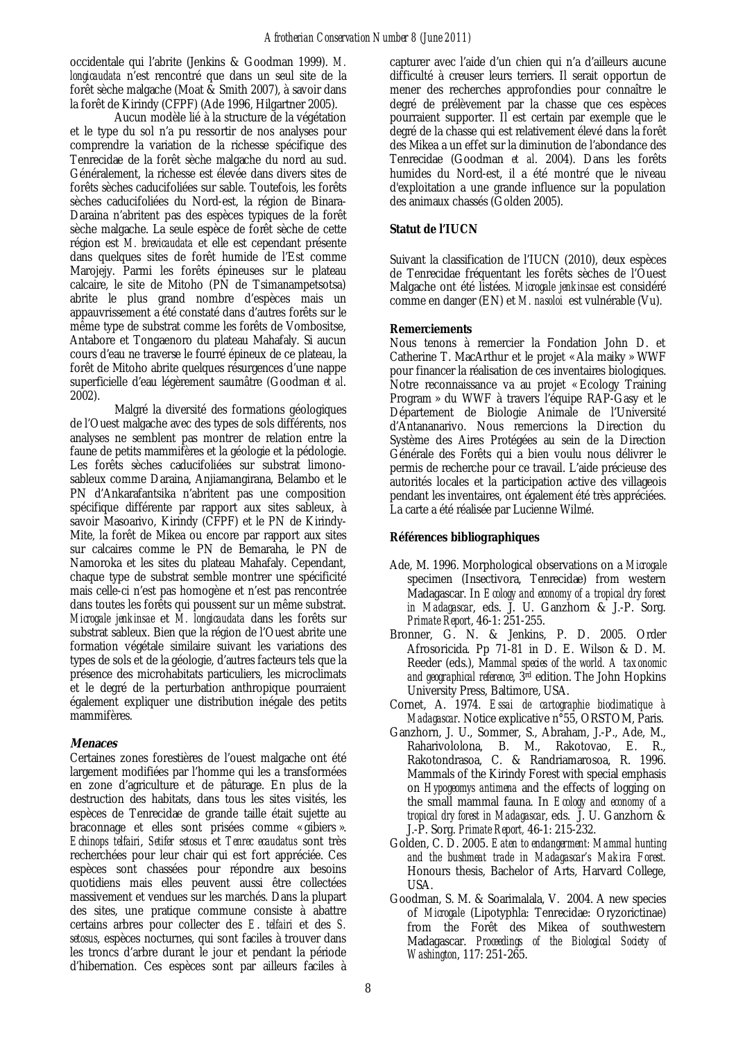occidentale qui l'abrite (Jenkins & Goodman 1999). *M. longicaudata* n'est rencontré que dans un seul site de la forêt sèche malgache (Moat & Smith 2007), à savoir dans la forêt de Kirindy (CFPF) (Ade 1996, Hilgartner 2005).

Aucun modèle lié à la structure de la végétation et le type du sol n'a pu ressortir de nos analyses pour comprendre la variation de la richesse spécifique des Tenrecidae de la forêt sèche malgache du nord au sud. Généralement, la richesse est élevée dans divers sites de forêts sèches caducifoliées sur sable. Toutefois, les forêts sèches caducifoliées du Nord-est, la région de Binara-Daraina n'abritent pas des espèces typiques de la forêt sèche malgache. La seule espèce de forêt sèche de cette région est *M. brevicaudata* et elle est cependant présente dans quelques sites de forêt humide de l'Est comme Marojejy. Parmi les forêts épineuses sur le plateau calcaire, le site de Mitoho (PN de Tsimanampetsotsa) abrite le plus grand nombre d'espèces mais un appauvrissement a été constaté dans d'autres forêts sur le même type de substrat comme les forêts de Vombositse, Antabore et Tongaenoro du plateau Mahafaly. Si aucun cours d'eau ne traverse le fourré épineux de ce plateau, la forêt de Mitoho abrite quelques résurgences d'une nappe superficielle d'eau légèrement saumâtre (Goodman *et al*. 2002).

Malgré la diversité des formations géologiques de l'Ouest malgache avec des types de sols différents, nos analyses ne semblent pas montrer de relation entre la faune de petits mammifères et la géologie et la pédologie. Les forêts sèches caducifoliées sur substrat limonosableux comme Daraina, Anjiamangirana, Belambo et le PN d'Ankarafantsika n'abritent pas une composition spécifique différente par rapport aux sites sableux, à savoir Masoarivo, Kirindy (CFPF) et le PN de Kirindy-Mite, la forêt de Mikea ou encore par rapport aux sites sur calcaires comme le PN de Bemaraha, le PN de Namoroka et les sites du plateau Mahafaly. Cependant, chaque type de substrat semble montrer une spécificité mais celle-ci n'est pas homogène et n'est pas rencontrée dans toutes les forêts qui poussent sur un même substrat. *Microgale jenkinsae* et *M. longicaudata* dans les forêts sur substrat sableux. Bien que la région de l'Ouest abrite une formation végétale similaire suivant les variations des types de sols et de la géologie, d'autres facteurs tels que la présence des microhabitats particuliers, les microclimats et le degré de la perturbation anthropique pourraient également expliquer une distribution inégale des petits mammifères.

#### **Menaces**

Certaines zones forestières de l'ouest malgache ont été largement modifiées par l'homme qui les a transformées en zone d'agriculture et de pâturage. En plus de la destruction des habitats, dans tous les sites visités, les espèces de Tenrecidae de grande taille était sujette au braconnage et elles sont prisées comme « gibiers ». *Echinops telfairi*, *Setifer setosus* et *Tenrec ecaudatus* sont très recherchées pour leur chair qui est fort appréciée. Ces espèces sont chassées pour répondre aux besoins quotidiens mais elles peuvent aussi être collectées massivement et vendues sur les marchés. Dans la plupart des sites, une pratique commune consiste à abattre certains arbres pour collecter des *E*. *telfairi* et des *S. setosus*, espèces nocturnes, qui sont faciles à trouver dans les troncs d'arbre durant le jour et pendant la période d'hibernation. Ces espèces sont par ailleurs faciles à

capturer avec l'aide d'un chien qui n'a d'ailleurs aucune difficulté à creuser leurs terriers. Il serait opportun de mener des recherches approfondies pour connaître le degré de prélèvement par la chasse que ces espèces pourraient supporter. Il est certain par exemple que le degré de la chasse qui est relativement élevé dans la forêt des Mikea a un effet sur la diminution de l'abondance des Tenrecidae (Goodman *et al*. 2004). Dans les forêts humides du Nord-est, il a été montré que le niveau d'exploitation a une grande influence sur la population des animaux chassés (Golden 2005).

#### **Statut de l'IUCN**

Suivant la classification de l'IUCN (2010), deux espèces de Tenrecidae fréquentant les forêts sèches de l'Ouest Malgache ont été listées. *Microgale jenkinsae* est considéré comme en danger (EN) et *M. nasoloi* est vulnérable (Vu).

#### **Remerciements**

Nous tenons à remercier la Fondation John D. et Catherine T. MacArthur et le projet « Ala maiky » WWF pour financer la réalisation de ces inventaires biologiques. Notre reconnaissance va au projet « Ecology Training Program » du WWF à travers l'équipe RAP-Gasy et le Département de Biologie Animale de l'Université d'Antananarivo. Nous remercions la Direction du Système des Aires Protégées au sein de la Direction Générale des Forêts qui a bien voulu nous délivrer le permis de recherche pour ce travail. L'aide précieuse des autorités locales et la participation active des villageois pendant les inventaires, ont également été très appréciées. La carte a été réalisée par Lucienne Wilmé.

### **Références bibliographiques**

- Ade, M. 1996. Morphological observations on a *Microgale*  specimen (Insectivora, Tenrecidae) from western Madagascar. In *Ecology and economy of a tropical dry forest in Madagascar*, eds. J. U. Ganzhorn & J.-P. Sorg. *Primate Report*, 46-1: 251-255.
- Bronner, G. N. & Jenkins, P. D. 2005. Order Afrosoricida. Pp 71-81 in D. E. Wilson & D. M. Reeder (eds.), M*ammal species of the world. A taxonomic and geographical reference*, 3rd edition. The John Hopkins University Press, Baltimore, USA.
- Cornet, A. 1974. *Essai de cartographie bioclimatique à Madagascar*. Notice explicative n°55, ORSTOM, Paris.
- Ganzhorn, J. U., Sommer, S., Abraham, J.-P., Ade, M., Raharivololona, B. M., Rakotovao, E. R., Rakotondrasoa, C. & Randriamarosoa, R. 1996. Mammals of the Kirindy Forest with special emphasis on *Hypogeomys antimena* and the effects of logging on the small mammal fauna. In *Ecology and economy of a tropical dry forest in Madagascar*, eds. J. U. Ganzhorn & J.-P. Sorg. *Primate Report,* 46-1: 215-232.
- Golden, C. D. 2005. *Eaten to endangerment: Mammal hunting and the bushmeat trade in Madagascar's Makira Forest.* Honours thesis, Bachelor of Arts, Harvard College, USA.
- Goodman, S. M. & Soarimalala, V. 2004. A new species of *Microgale* (Lipotyphla: Tenrecidae: Oryzorictinae) from the Forêt des Mikea of southwestern Madagascar. *Proceedings of the Biological Society of Washington*, 117: 251-265.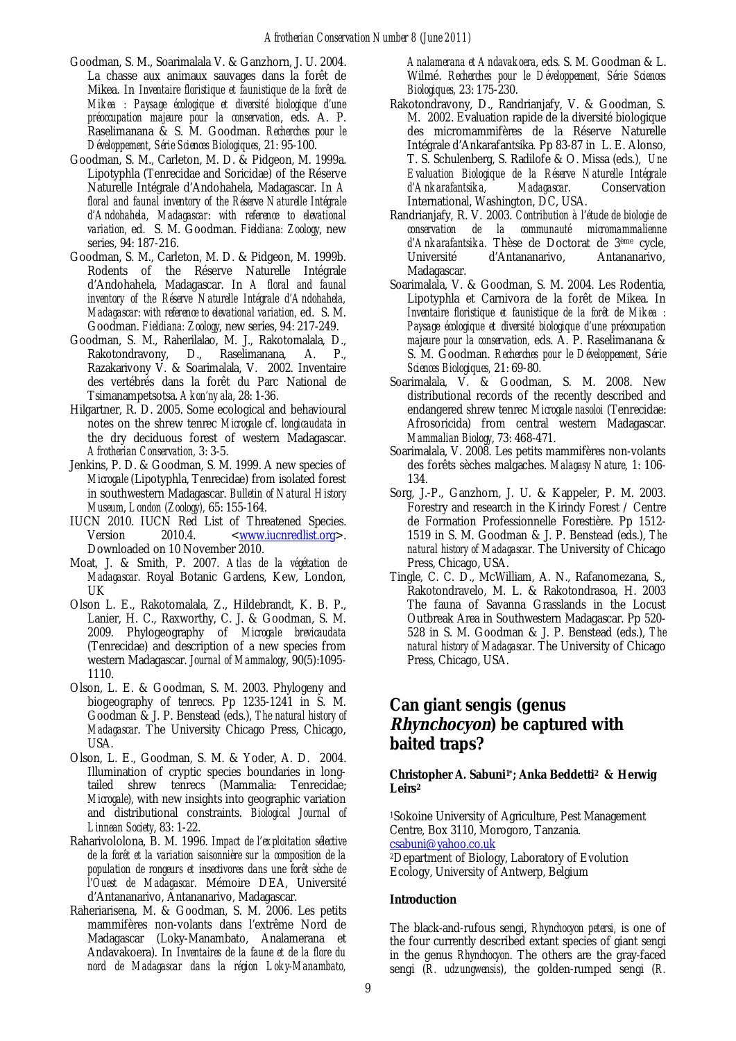- Goodman, S. M., Soarimalala V. & Ganzhorn, J. U. 2004. La chasse aux animaux sauvages dans la forêt de Mikea. In *Inventaire floristique et faunistique de la forêt de Mikea : Paysage écologique et diversité biologique d'une préoccupation majeure pour la conservation*, eds. A. P. Raselimanana & S. M. Goodman. *Recherches pour le Développement, Série Sciences Biologiques*, 21: 95-100.
- Goodman, S. M., Carleton, M. D. & Pidgeon, M. 1999a. Lipotyphla (Tenrecidae and Soricidae) of the Réserve Naturelle Intégrale d'Andohahela, Madagascar. In *A floral and faunal inventory of the Réserve Naturelle Intégrale d'Andohahela, Madagascar*: *with reference to elevational variation,* ed. S. M. Goodman. *Fieldiana: Zoology*, new series, 94: 187-216.
- Goodman, S. M., Carleton, M. D. & Pidgeon, M. 1999b. Rodents of the Réserve Naturelle Intégrale d'Andohahela, Madagascar. In *A floral and faunal inventory of the Réserve Naturelle Intégrale d'Andohahela, Madagascar*: *with reference to elevational variation,* ed. S. M. Goodman. *Fieldiana: Zoology*, new series, 94: 217-249.
- Goodman, S. M., Raherilalao, M. J., Rakotomalala, D., Rakotondravony, D., Raselimanana, A. P., Razakarivony V. & Soarimalala, V. 2002. Inventaire des vertébrés dans la forêt du Parc National de Tsimanampetsotsa. *Akon'ny ala*, 28: 1-36.
- Hilgartner, R. D. 2005. Some ecological and behavioural notes on the shrew tenrec *Microgale* cf. *longicaudata* in the dry deciduous forest of western Madagascar. *Afrotherian Conservation,* 3: 3-5.
- Jenkins, P. D. & Goodman, S. M. 1999. A new species of *Microgale* (Lipotyphla, Tenrecidae) from isolated forest in southwestern Madagascar. *Bulletin of Natural History Museum*, *London (Zoology),* 65: 155-164.
- IUCN 2010. IUCN Red List of Threatened Species.<br>Version 2010.4. <www.iucnredlist.org>. <[www.iucnredlist.org>](http://www.iucnredlist.org/). Downloaded on 10 November 2010.
- Moat, J. & Smith, P. 2007. *Atlas de la végétation de Madagascar*. Royal Botanic Gardens, Kew, London, UK
- Olson L. E., Rakotomalala, Z., Hildebrandt, K. B. P., Lanier, H. C., Raxworthy, C. J. & Goodman, S. M. 2009. Phylogeography of *Microgale brevicaudata* (Tenrecidae) and description of a new species from western Madagascar. *Journal of Mammalogy*, 90(5):1095- 1110.
- Olson, L. E. & Goodman, S. M. 2003. Phylogeny and biogeography of tenrecs. Pp 1235-1241 in S. M. Goodman & J. P. Benstead (eds.), *The natural history of Madagascar*. The University Chicago Press, Chicago, USA.
- Olson, L. E., Goodman, S. M. & Yoder, A. D. 2004. Illumination of cryptic species boundaries in longtailed shrew tenrecs (Mammalia: Tenrecidae; *Microgale*), with new insights into geographic variation and distributional constraints. *Biological Journal of Linnean Society*, 83: 1-22.
- Raharivololona, B. M. 1996. *Impact de l'exploitation sélective de la forêt et la variation saisonnière sur la composition de la population de rongeurs et insectivores dans une forêt sèche de l'Ouest de Madagascar.* Mémoire DEA, Université d'Antananarivo, Antananarivo, Madagascar.
- Raheriarisena, M. & Goodman, S. M. 2006. Les petits mammifères non-volants dans l'extrême Nord de Madagascar (Loky-Manambato, Analamerana et Andavakoera). In *Inventaires de la faune et de la flore du nord de Madagascar dans la région Loky-Manambato,*

*Analamerana et Andavakoera*, eds. S. M. Goodman & L. Wilmé. *Recherches pour le Développement, Série Sciences Biologiques,* 23: 175-230.

- Rakotondravony, D., Randrianjafy, V. & Goodman, S. M. 2002. Evaluation rapide de la diversité biologique des micromammifères de la Réserve Naturelle Intégrale d'Ankarafantsika*.* Pp 83-87 in L. E. Alonso, T. S. Schulenberg, S. Radilofe & O. Missa (eds.), *Une Evaluation Biologique de la Réserve Naturelle Intégrale d'Ankarafantsika, Madagascar*. Conservation International, Washington, DC, USA.
- Randrianjafy, R. V. 2003. *Contribution à l'étude de biologie de conservation de la communauté micromammalienne d'Ankarafantsika.* Thèse de Doctorat de 3ème cycle, Université d'Antananarivo, Antananarivo, Madagascar.
- Soarimalala, V. & Goodman, S. M. 2004. Les Rodentia, Lipotyphla et Carnivora de la forêt de Mikea. In *Inventaire floristique et faunistique de la forêt de Mikea : Paysage écologique et diversité biologique d'une préoccupation majeure pour la conservation,* eds. A. P. Raselimanana & S. M. Goodman. *Recherches pour le Développement, Série Sciences Biologiques,* 21: 69-80.
- Soarimalala, V. & Goodman, S. M. 2008. New distributional records of the recently described and endangered shrew tenrec *Microgale nasoloi* (Tenrecidae: Afrosoricida) from central western Madagascar. *Mammalian Biology*, 73: 468-471.
- Soarimalala, V. 2008. Les petits mammifères non-volants des forêts sèches malgaches. *Malagasy Nature*, 1: 106- 134.
- Sorg, J.-P., Ganzhorn, J. U. & Kappeler, P. M. 2003. Forestry and research in the Kirindy Forest / Centre de Formation Professionnelle Forestière. Pp 1512- 1519 in S. M. Goodman & J. P. Benstead (eds.), *The natural history of Madagascar*. The University of Chicago Press, Chicago, USA.
- Tingle, C. C. D., McWilliam, A. N., Rafanomezana, S., Rakotondravelo, M. L. & Rakotondrasoa, H. 2003 The fauna of Savanna Grasslands in the Locust Outbreak Area in Southwestern Madagascar. Pp 520- 528 in S. M. Goodman & J. P. Benstead (eds.), *The natural history of Madagascar*. The University of Chicago Press, Chicago, USA.

## **Can giant sengis (genus Rhynchocyon) be captured with baited traps?**

**Christopher A. Sabuni1\*; Anka Beddetti<sup>2</sup> & Herwig Leirs<sup>2</sup>**

<sup>1</sup>Sokoine University of Agriculture, Pest Management Centre, Box 3110, Morogoro, Tanzania. [csabuni@yahoo.co.uk](mailto:csabuni@yahoo.co.uk) <sup>2</sup>Department of Biology, Laboratory of Evolution Ecology, University of Antwerp, Belgium

#### **Introduction**

The black-and-rufous sengi, *Rhynchocyon petersi,* is one of the four currently described extant species of giant sengi in the genus *Rhynchocyon*. The others are the gray-faced sengi (*R. udzungwensis*), the golden-rumped sengi (*R.*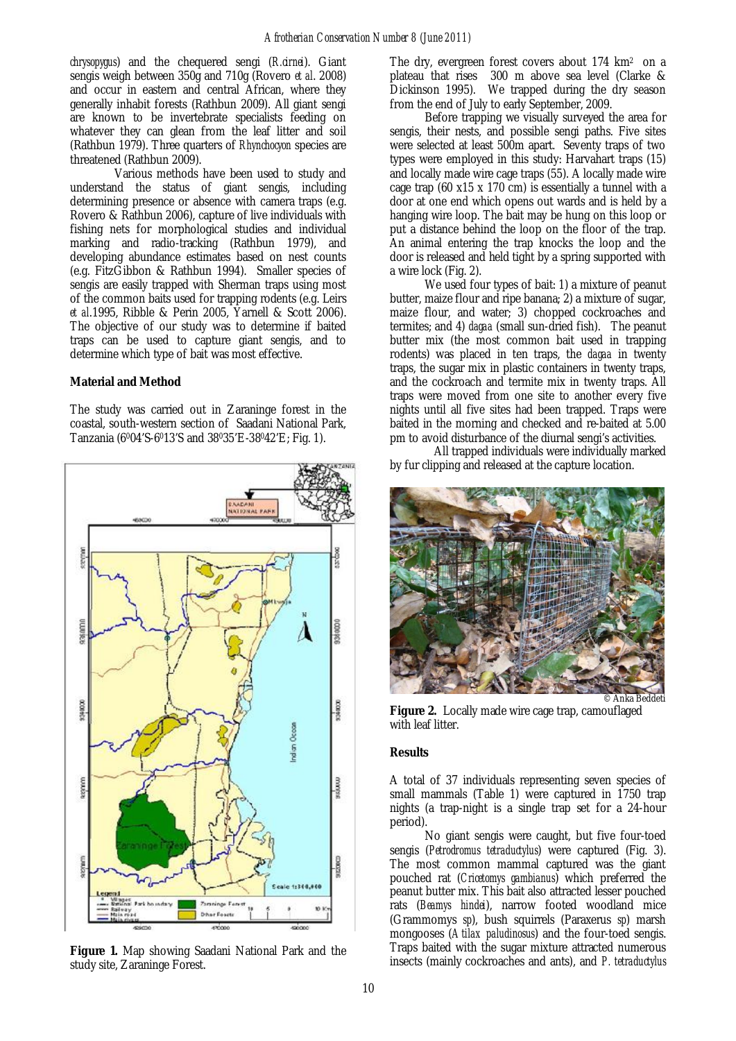*chrysopygus*) and the chequered sengi (*R.cirnei*). Giant sengis weigh between 350g and 710g (Rovero *et al*. 2008) and occur in eastern and central African, where they generally inhabit forests (Rathbun 2009). All giant sengi are known to be invertebrate specialists feeding on whatever they can glean from the leaf litter and soil (Rathbun 1979). Three quarters of *Rhynchocyon* species are threatened (Rathbun 2009).

Various methods have been used to study and understand the status of giant sengis, including determining presence or absence with camera traps (e.g. Rovero & Rathbun 2006), capture of live individuals with fishing nets for morphological studies and individual marking and radio-tracking (Rathbun 1979), and developing abundance estimates based on nest counts (e.g. FitzGibbon & Rathbun 1994). Smaller species of sengis are easily trapped with Sherman traps using most of the common baits used for trapping rodents (e.g. Leirs *et al*.1995, Ribble & Perin 2005, Yarnell & Scott 2006). The objective of our study was to determine if baited traps can be used to capture giant sengis, and to determine which type of bait was most effective.

#### **Material and Method**

The study was carried out in Zaraninge forest in the coastal, south-western section of Saadani National Park, Tanzania (6004'S-6013'S and 38035'E-38042'E; Fig. 1).



**Figure 1.** Map showing Saadani National Park and the study site, Zaraninge Forest.

The dry, evergreen forest covers about 174 km<sup>2</sup> on a plateau that rises 300 m above sea level (Clarke & Dickinson 1995). We trapped during the dry season from the end of July to early September, 2009.

Before trapping we visually surveyed the area for sengis, their nests, and possible sengi paths. Five sites were selected at least 500m apart. Seventy traps of two types were employed in this study: Harvahart traps (15) and locally made wire cage traps (55). A locally made wire cage trap (60 x15 x 170 cm) is essentially a tunnel with a door at one end which opens out wards and is held by a hanging wire loop. The bait may be hung on this loop or put a distance behind the loop on the floor of the trap. An animal entering the trap knocks the loop and the door is released and held tight by a spring supported with a wire lock (Fig. 2).

We used four types of bait: 1) a mixture of peanut butter, maize flour and ripe banana; 2) a mixture of sugar, maize flour, and water; 3) chopped cockroaches and termites; and 4) *dagaa* (small sun-dried fish). The peanut butter mix (the most common bait used in trapping rodents) was placed in ten traps, the *dagaa* in twenty traps, the sugar mix in plastic containers in twenty traps, and the cockroach and termite mix in twenty traps. All traps were moved from one site to another every five nights until all five sites had been trapped. Traps were baited in the morning and checked and re-baited at 5.00 pm to avoid disturbance of the diurnal sengi's activities.

All trapped individuals were individually marked by fur clipping and released at the capture location.



**Figure 2.** Locally made wire cage trap, camouflaged with leaf litter.

#### **Results**

A total of 37 individuals representing seven species of small mammals (Table 1) were captured in 1750 trap nights (a trap-night is a single trap set for a 24-hour period).

No giant sengis were caught, but five four-toed sengis (*Petrodromus tetraductylus*) were captured (Fig. 3). The most common mammal captured was the giant pouched rat (*Cricetomys gambianus*) which preferred the peanut butter mix. This bait also attracted lesser pouched rats (*Beamys hindei*), narrow footed woodland mice (Grammomys *sp*), bush squirrels (Paraxerus *sp*) marsh mongooses (*Atilax paludinosus*) and the four-toed sengis. Traps baited with the sugar mixture attracted numerous insects (mainly cockroaches and ants), and *P. tetraductylus*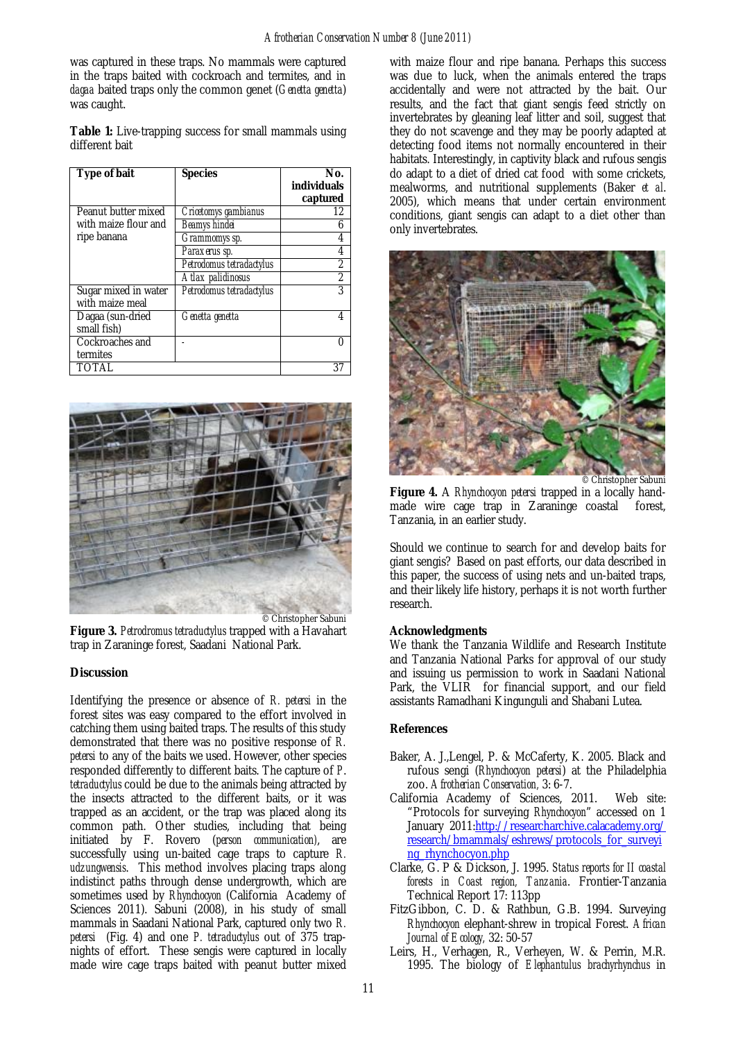was captured in these traps. No mammals were captured in the traps baited with cockroach and termites, and in *dagaa* baited traps only the common genet (*Genetta genetta*) was caught.

**Table 1:** Live-trapping success for small mammals using different bait

| Type of bait         | Species                  | No.            |
|----------------------|--------------------------|----------------|
|                      |                          | individuals    |
|                      |                          | captured       |
|                      |                          |                |
| Peanut butter mixed  | Cricetomys gambianus     | 12             |
| with maize flour and | Beamys hindei            | 6              |
| ripe banana          | Grammomys sp.            | 4              |
|                      | Paraxerus sp.            | 4              |
|                      | Petrodomus tetradactylus | 2              |
|                      | Atlax palidinosus        | $\overline{2}$ |
| Sugar mixed in water | Petrodomus tetradactylus | 3              |
| with maize meal      |                          |                |
| Dagaa (sun-dried     | Genetta genetta          | 4              |
| small fish)          |                          |                |
| Cockroaches and      |                          |                |
| termites             |                          |                |
| <b>TOTAL</b>         |                          | 37             |



**Figure 3.** *Petrodromus tetraductylus* trapped with a Havahart trap in Zaraninge forest, Saadani National Park.

#### **Discussion**

Identifying the presence or absence of *R. petersi* in the forest sites was easy compared to the effort involved in catching them using baited traps. The results of this study demonstrated that there was no positive response of *R. petersi* to any of the baits we used. However, other species responded differently to different baits. The capture of *P*. *tetraductylus* could be due to the animals being attracted by the insects attracted to the different baits, or it was trapped as an accident, or the trap was placed along its common path. Other studies, including that being initiated by F. Rovero (*person communication)*, are successfully using un-baited cage traps to capture *R. udzungwensis*. This method involves placing traps along indistinct paths through dense undergrowth, which are sometimes used by *Rhynchocyon* (California Academy of Sciences 2011). Sabuni (2008), in his study of small mammals in Saadani National Park, captured only two *R. petersi* (Fig. 4) and one *P. tetraductylus* out of 375 trapnights of effort. These sengis were captured in locally made wire cage traps baited with peanut butter mixed

with maize flour and ripe banana. Perhaps this success was due to luck, when the animals entered the traps accidentally and were not attracted by the bait. Our results, and the fact that giant sengis feed strictly on invertebrates by gleaning leaf litter and soil, suggest that they do not scavenge and they may be poorly adapted at detecting food items not normally encountered in their habitats. Interestingly, in captivity black and rufous sengis do adapt to a diet of dried cat food with some crickets, mealworms, and nutritional supplements (Baker *et al*. 2005), which means that under certain environment conditions, giant sengis can adapt to a diet other than only invertebrates.



**Figure 4.** A *Rhynchocyon petersi* trapped in a locally handmade wire cage trap in Zaraninge coastal forest, Tanzania, in an earlier study.

Should we continue to search for and develop baits for giant sengis? Based on past efforts, our data described in this paper, the success of using nets and un-baited traps, and their likely life history, perhaps it is not worth further research.

#### **Acknowledgments**

We thank the Tanzania Wildlife and Research Institute and Tanzania National Parks for approval of our study and issuing us permission to work in Saadani National Park, the VLIR for financial support, and our field assistants Ramadhani Kingunguli and Shabani Lutea.

#### **References**

- Baker, A. J.,Lengel, P. & McCaferty, K. 2005. Black and rufous sengi (*Rhynchocyon petersi*) at the Philadelphia zoo. *Afrotherian Conservation,* 3: 6-7.
- California Academy of Sciences, 2011. Web site: "Protocols for surveying *Rhynchocyon*" accessed on 1 January 2011:http://researcharchive.calacademy.org/ [research/bmammals/eshrews/protocols\\_for\\_surveyi](http://researcharchive.calacademy.org/%20research/bmammals/eshrews/protocols_for_surveying_rhynchocyon.php) [ng\\_rhynchocyon.php](http://researcharchive.calacademy.org/%20research/bmammals/eshrews/protocols_for_surveying_rhynchocyon.php)
- Clarke, G. P & Dickson, J. 1995. *Status reports for II coastal forests in Coast region, Tanzania*. Frontier-Tanzania Technical Report 17: 113pp
- FitzGibbon, C. D. & Rathbun, G.B. 1994. Surveying *Rhynchocyon* elephant-shrew in tropical Forest. *African Journal of Ecology,* 32: 50-57
- Leirs, H., Verhagen, R., Verheyen, W. & Perrin, M.R. 1995. The biology of *Elephantulus brachyrhynchus* in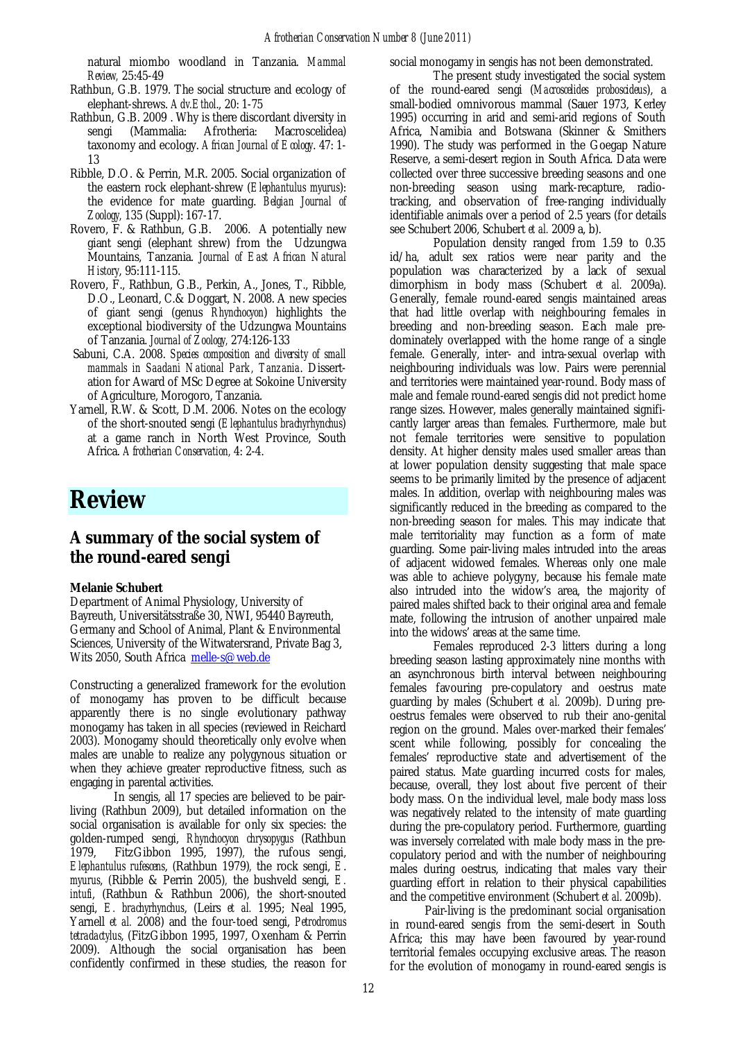natural miombo woodland in Tanzania. *Mammal Review,* 25:45-49

- Rathbun, G.B. 1979. The social structure and ecology of elephant-shrews. *Adv.Ethol*., 20: 1-75
- Rathbun, G.B. 2009 . Why is there discordant diversity in sengi (Mammalia: Afrotheria: Macroscelidea) taxonomy and ecology. *African Journal of Ecology*. 47: 1- 13
- Ribble, D.O. & Perrin, M.R. 2005. Social organization of the eastern rock elephant-shrew (*Elephantulus myurus*): the evidence for mate guarding. *Belgian Journal of Zoology,* 135 (Suppl): 167-17.
- Rovero, F. & Rathbun, G.B. 2006. A potentially new giant sengi (elephant shrew) from the Udzungwa Mountains, Tanzania. *Journal of East African Natural History*, 95:111-115.
- Rovero, F., Rathbun, G.B., Perkin, A., Jones, T., Ribble, D.O., Leonard, C.& Doggart, N. 2008. A new species of giant sengi (genus *Rhynchocyon*) highlights the exceptional biodiversity of the Udzungwa Mountains of Tanzania. *Journal of Zoology,* 274:126-133
- Sabuni, C.A. 2008. *Species composition and diversity of small mammals in Saadani National Park, Tanzania*. Dissertation for Award of MSc Degree at Sokoine University of Agriculture, Morogoro, Tanzania.
- Yarnell, R.W. & Scott, D.M. 2006. Notes on the ecology of the short-snouted sengi (*Elephantulus brachyrhynchus*) at a game ranch in North West Province, South Africa. *Afrotherian Conservation,* 4: 2-4.

## **Review**

### **A summary of the social system of the round-eared sengi**

#### **Melanie Schubert**

Department of Animal Physiology, University of Bayreuth, Universitätsstraße 30, NWI, 95440 Bayreuth, Germany and School of Animal, Plant & Environmental Sciences, University of the Witwatersrand, Private Bag 3, Wits 2050, South Africa [melle-s@web.de](mailto:melle-s@web.de)

Constructing a generalized framework for the evolution of monogamy has proven to be difficult because apparently there is no single evolutionary pathway monogamy has taken in all species (reviewed in Reichard 2003). Monogamy should theoretically only evolve when males are unable to realize any polygynous situation or when they achieve greater reproductive fitness, such as engaging in parental activities.

In sengis, all 17 species are believed to be pairliving (Rathbun 2009), but detailed information on the social organisation is available for only six species: the golden-rumped sengi, *Rhynchocyon chrysopygus* (Rathbun 1979, FitzGibbon 1995, 1997)*,* the rufous sengi, *Elephantulus rufescens*, (Rathbun 1979)*,* the rock sengi, *E*. *myurus*, (Ribble & Perrin 2005)*,* the bushveld sengi, *E. intufi*, (Rathbun & Rathbun 2006), the short-snouted sengi, *E. brachyrhynchus*, (Leirs *et al.* 1995; Neal 1995, Yarnell *et al.* 2008) and the four-toed sengi, *Petrodromus tetradactylus*, (FitzGibbon 1995, 1997, Oxenham & Perrin 2009). Although the social organisation has been confidently confirmed in these studies, the reason for

social monogamy in sengis has not been demonstrated.

The present study investigated the social system of the round-eared sengi (*Macroscelides proboscideus*), a small-bodied omnivorous mammal (Sauer 1973, Kerley 1995) occurring in arid and semi-arid regions of South Africa, Namibia and Botswana (Skinner & Smithers 1990). The study was performed in the Goegap Nature Reserve, a semi-desert region in South Africa. Data were collected over three successive breeding seasons and one non-breeding season using mark-recapture, radiotracking, and observation of free-ranging individually identifiable animals over a period of 2.5 years (for details see Schubert 2006, Schubert *et al.* 2009 a, b).

Population density ranged from 1.59 to 0.35 id/ha, adult sex ratios were near parity and the population was characterized by a lack of sexual dimorphism in body mass (Schubert *et al.* 2009a). Generally, female round-eared sengis maintained areas that had little overlap with neighbouring females in breeding and non-breeding season. Each male predominately overlapped with the home range of a single female. Generally, inter- and intra-sexual overlap with neighbouring individuals was low. Pairs were perennial and territories were maintained year-round. Body mass of male and female round-eared sengis did not predict home range sizes. However, males generally maintained significantly larger areas than females. Furthermore, male but not female territories were sensitive to population density. At higher density males used smaller areas than at lower population density suggesting that male space seems to be primarily limited by the presence of adjacent males. In addition, overlap with neighbouring males was significantly reduced in the breeding as compared to the non-breeding season for males. This may indicate that male territoriality may function as a form of mate guarding. Some pair-living males intruded into the areas of adjacent widowed females. Whereas only one male was able to achieve polygyny, because his female mate also intruded into the widow's area, the majority of paired males shifted back to their original area and female mate, following the intrusion of another unpaired male into the widows' areas at the same time.

Females reproduced 2-3 litters during a long breeding season lasting approximately nine months with an asynchronous birth interval between neighbouring females favouring pre-copulatory and oestrus mate guarding by males (Schubert *et al.* 2009b). During preoestrus females were observed to rub their ano-genital region on the ground. Males over-marked their females' scent while following, possibly for concealing the females' reproductive state and advertisement of the paired status. Mate guarding incurred costs for males, because, overall, they lost about five percent of their body mass. On the individual level, male body mass loss was negatively related to the intensity of mate guarding during the pre-copulatory period. Furthermore, guarding was inversely correlated with male body mass in the precopulatory period and with the number of neighbouring males during oestrus, indicating that males vary their guarding effort in relation to their physical capabilities and the competitive environment (Schubert *et al.* 2009b).

 Pair-living is the predominant social organisation in round-eared sengis from the semi-desert in South Africa; this may have been favoured by year-round territorial females occupying exclusive areas. The reason for the evolution of monogamy in round-eared sengis is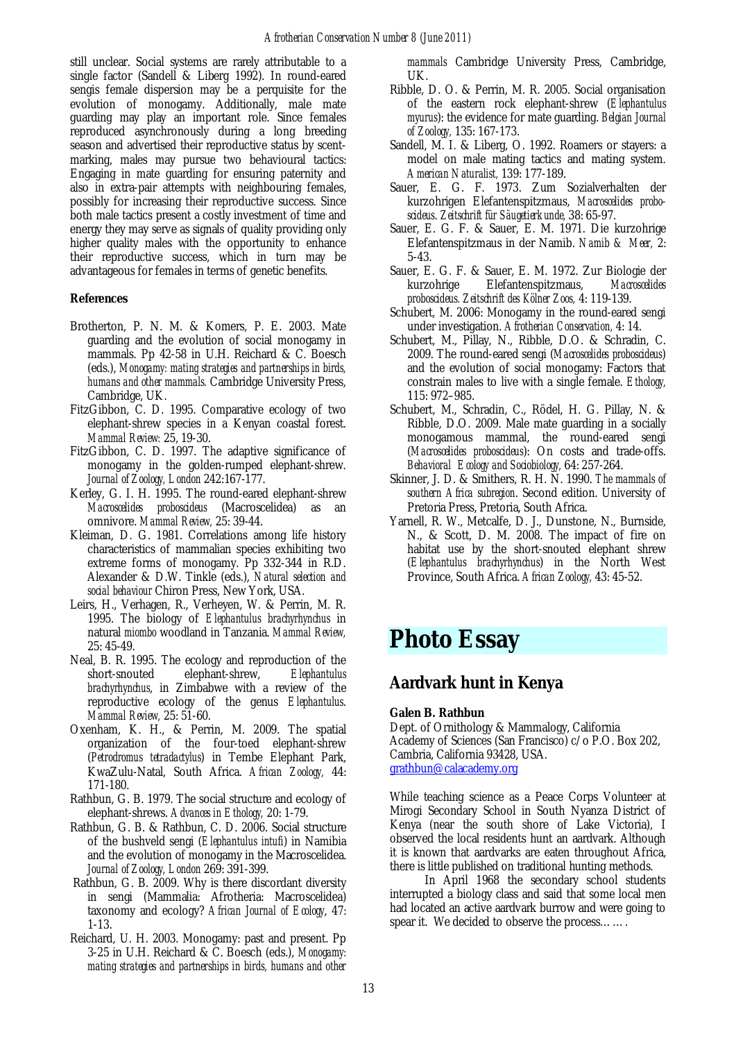still unclear. Social systems are rarely attributable to a single factor (Sandell & Liberg 1992). In round-eared sengis female dispersion may be a perquisite for the evolution of monogamy. Additionally, male mate guarding may play an important role. Since females reproduced asynchronously during a long breeding season and advertised their reproductive status by scentmarking, males may pursue two behavioural tactics: Engaging in mate guarding for ensuring paternity and also in extra-pair attempts with neighbouring females, possibly for increasing their reproductive success. Since both male tactics present a costly investment of time and energy they may serve as signals of quality providing only higher quality males with the opportunity to enhance their reproductive success, which in turn may be advantageous for females in terms of genetic benefits.

#### **References**

- Brotherton, P. N. M. & Komers, P. E. 2003. Mate guarding and the evolution of social monogamy in mammals. Pp 42-58 in U.H. Reichard & C. Boesch (eds.), *Monogamy: mating strategies and partnerships in birds, humans and other mammals.* Cambridge University Press, Cambridge, UK.
- FitzGibbon, C. D. 1995. Comparative ecology of two elephant-shrew species in a Kenyan coastal forest. *Mammal Review:* 25, 19-30.
- FitzGibbon, C. D. 1997. The adaptive significance of monogamy in the golden-rumped elephant-shrew. *Journal of Zoology, London* 242:167-177.
- Kerley, G. I. H. 1995. The round-eared elephant-shrew *Macroscelides proboscideus* (Macroscelidea) as an omnivore. *Mammal Review,* 25: 39-44.
- Kleiman, D. G. 1981. Correlations among life history characteristics of mammalian species exhibiting two extreme forms of monogamy. Pp 332-344 in R.D. Alexander & D.W. Tinkle (eds.), *Natural selection and social behaviour* Chiron Press, New York, USA.
- Leirs, H., Verhagen, R., Verheyen, W. & Perrin, M. R. 1995. The biology of *Elephantulus brachyrhynchus* in natural *miombo* woodland in Tanzania. *Mammal Review,* 25: 45-49.
- Neal, B. R. 1995. The ecology and reproduction of the<br>short-snouted elephant-shrew, Elephantulus elephant-shrew, *brachyrhynchus*, in Zimbabwe with a review of the reproductive ecology of the genus *Elephantulus*. *Mammal Review,* 25: 51-60.
- Oxenham, K. H., & Perrin, M. 2009. The spatial organization of the four-toed elephant-shrew (*Petrodromus tetradactylus*) in Tembe Elephant Park, KwaZulu-Natal, South Africa. *African Zoology,* 44: 171-180.
- Rathbun, G. B. 1979. The social structure and ecology of elephant-shrews. *Advances in Ethology,* 20: 1-79.
- Rathbun, G. B. & Rathbun, C. D. 2006. Social structure of the bushveld sengi (*Elephantulus intufi*) in Namibia and the evolution of monogamy in the Macroscelidea. *Journal of Zoology, London* 269: 391-399.
- Rathbun, G. B. 2009. Why is there discordant diversity in sengi (Mammalia: Afrotheria: Macroscelidea) taxonomy and ecology? *African Journal of Ecology*, 47: 1-13.
- Reichard, U. H. 2003. Monogamy: past and present. Pp 3-25 in U.H. Reichard & C. Boesch (eds.), *Monogamy: mating strategies and partnerships in birds, humans and other*

*mammals* Cambridge University Press, Cambridge, UK.

- Ribble, D. O. & Perrin, M. R. 2005. Social organisation of the eastern rock elephant-shrew (*Elephantulus myurus*): the evidence for mate guarding. *Belgian Journal of Zoology,* 135: 167-173.
- Sandell, M. I. & Liberg, O. 1992. Roamers or stayers: a model on male mating tactics and mating system. *American Naturalist,* 139: 177-189.
- Sauer, E. G. F. 1973. Zum Sozialverhalten der kurzohrigen Elefantenspitzmaus, *Macroscelides proboscideus*. *Zeitschrift für Säugetierkunde,* 38: 65-97.
- Sauer, E. G. F. & Sauer, E. M. 1971. Die kurzohrige Elefantenspitzmaus in der Namib. *Namib & Meer,* 2: 5-43.
- Sauer, E. G. F. & Sauer, E. M. 1972. Zur Biologie der kurzohrige Elefantenspitzmaus, *Macroscelides proboscideus. Zeitschrift des Kölner Zoos,* 4: 119-139.
- Schubert, M. 2006: Monogamy in the round-eared sengi under investigation. *Afrotherian Conservation,* 4: 14.
- Schubert, M., Pillay, N., Ribble, D.O. & Schradin, C. 2009. The round-eared sengi (*Macroscelides proboscideus*) and the evolution of social monogamy: Factors that constrain males to live with a single female. *Ethology,* 115: 972–985.
- Schubert, M., Schradin, C., Rödel, H. G. Pillay, N. & Ribble, D.O. 2009. Male mate guarding in a socially monogamous mammal, the round-eared sengi (*Macroscelides proboscideus*): On costs and trade-offs. *Behavioral Ecology and Sociobiology,* 64: 257-264.
- Skinner, J. D. & Smithers, R. H. N. 1990. *The mammals of southern Africa subregion*. Second edition. University of Pretoria Press, Pretoria, South Africa.
- Yarnell, R. W., Metcalfe, D. J., Dunstone, N., Burnside, N., & Scott, D. M. 2008. The impact of fire on habitat use by the short-snouted elephant shrew (*Elephantulus brachyrhynchus*) in the North West Province, South Africa. *African Zoology,* 43: 45-52.

## **Photo Essay**

## **Aardvark hunt in Kenya**

**Galen B. Rathbun**  Dept. of Ornithology & Mammalogy, California Academy of Sciences (San Francisco) c/o P.O. Box 202, Cambria, California 93428, USA. [grathbun@calacademy.org](mailto:grathbun@calacademy.org)

While teaching science as a Peace Corps Volunteer at Mirogi Secondary School in South Nyanza District of Kenya (near the south shore of Lake Victoria), I observed the local residents hunt an aardvark. Although it is known that aardvarks are eaten throughout Africa, there is little published on traditional hunting methods.

In April 1968 the secondary school students interrupted a biology class and said that some local men had located an active aardvark burrow and were going to spear it. We decided to observe the process.......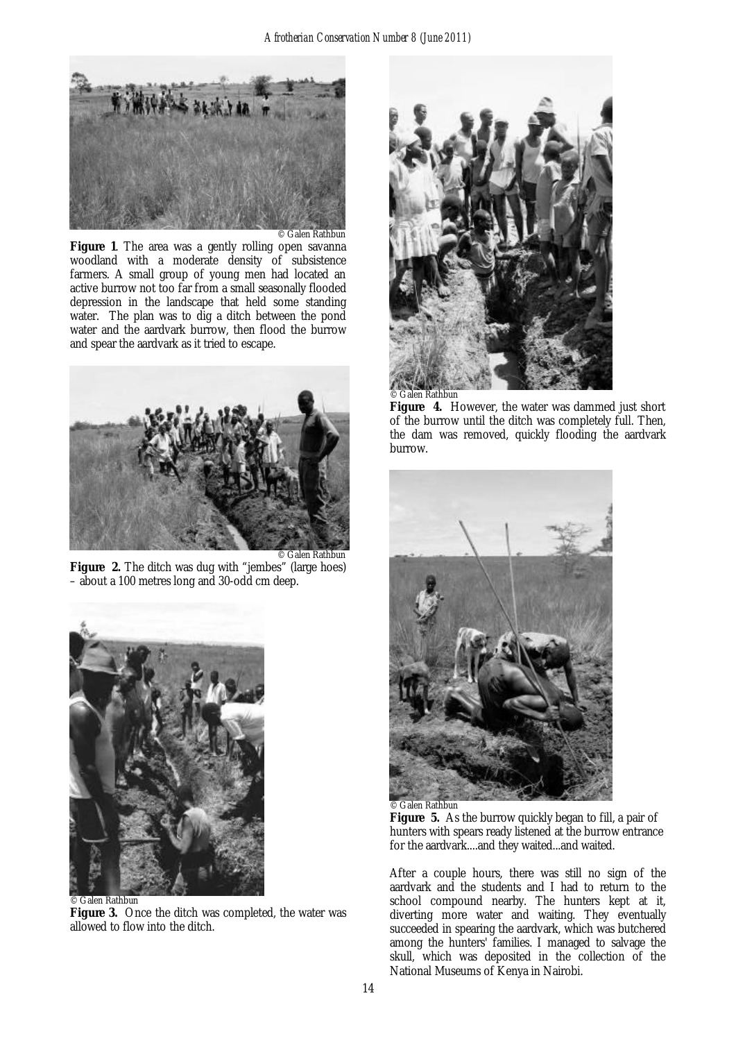

**Figure 1**. The area was a gently rolling open savanna woodland with a moderate density of subsistence farmers. A small group of young men had located an active burrow not too far from a small seasonally flooded depression in the landscape that held some standing water. The plan was to dig a ditch between the pond water and the aardvark burrow, then flood the burrow and spear the aardvark as it tried to escape.



**Figure 2.** The ditch was dug with "jembes" (large hoes) – about a 100 metres long and 30-odd cm deep.



**Figure 3.** Once the ditch was completed, the water was allowed to flow into the ditch.



**Figure 4.** However, the water was dammed just short of the burrow until the ditch was completely full. Then, the dam was removed, quickly flooding the aardvark burrow.



**Figure 5.** As the burrow quickly began to fill, a pair of hunters with spears ready listened at the burrow entrance for the aardvark....and they waited...and waited.

After a couple hours, there was still no sign of the aardvark and the students and I had to return to the school compound nearby. The hunters kept at it, diverting more water and waiting. They eventually succeeded in spearing the aardvark, which was butchered among the hunters' families. I managed to salvage the skull, which was deposited in the collection of the National Museums of Kenya in Nairobi.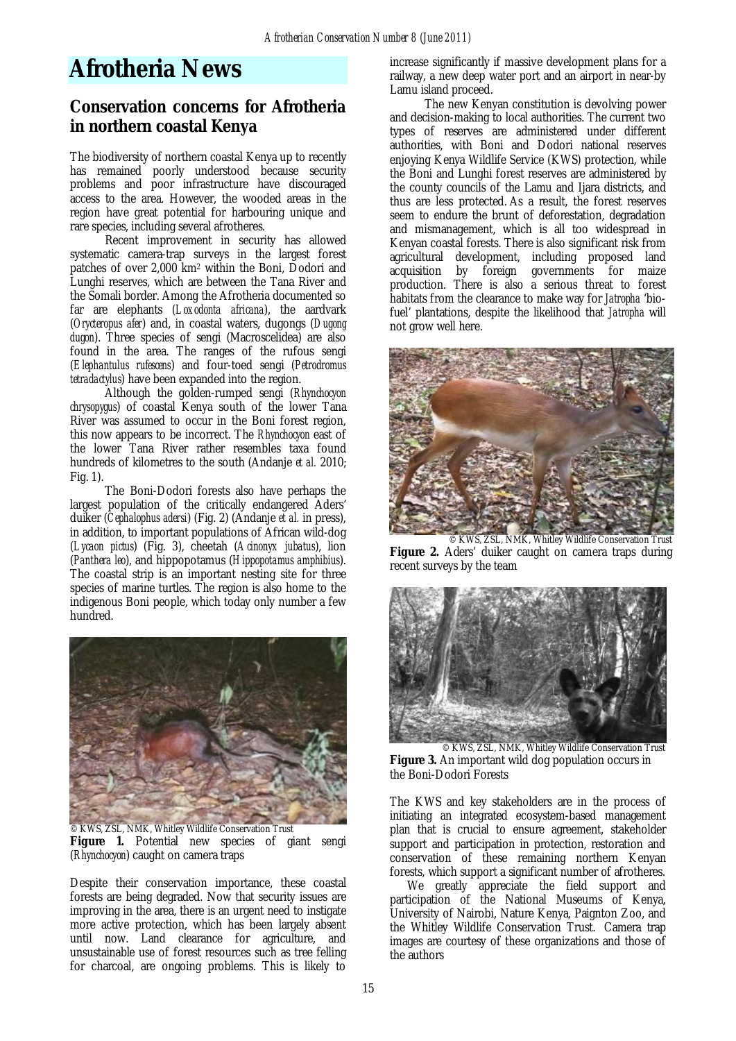## **Afrotheria News**

### **Conservation concerns for Afrotheria in northern coastal Kenya**

The biodiversity of northern coastal Kenya up to recently has remained poorly understood because security problems and poor infrastructure have discouraged access to the area. However, the wooded areas in the region have great potential for harbouring unique and rare species, including several afrotheres.

Recent improvement in security has allowed systematic camera-trap surveys in the largest forest patches of over 2,000 km<sup>2</sup> within the Boni, Dodori and Lunghi reserves, which are between the Tana River and the Somali border. Among the Afrotheria documented so far are elephants (*Loxodonta africana*), the aardvark (*Orycteropus afer*) and, in coastal waters, dugongs (*Dugong dugon*). Three species of sengi (Macroscelidea) are also found in the area. The ranges of the rufous sengi (*Elephantulus rufescens*) and four-toed sengi (*Petrodromus tetradactylus*) have been expanded into the region.

Although the golden-rumped sengi (*Rhynchocyon chrysopygus*) of coastal Kenya south of the lower Tana River was assumed to occur in the Boni forest region, this now appears to be incorrect. The *Rhynchocyon* east of the lower Tana River rather resembles taxa found hundreds of kilometres to the south (Andanje *et al.* 2010; Fig. 1).

The Boni-Dodori forests also have perhaps the largest population of the critically endangered Aders' duiker (*Cephalophus adersi*) (Fig. 2) (Andanje *et al.* in press), in addition, to important populations of African wild-dog (*Lycaon pictus*) (Fig. 3), cheetah (*Acinonyx jubatus*), lion (*Panthera leo*), and hippopotamus (*Hippopotamus amphibius*). The coastal strip is an important nesting site for three species of marine turtles. The region is also home to the indigenous Boni people, which today only number a few hundred.



© KWS, ZSL, NMK, Whitley Wildlife Conservation Trust **Figure 1.** Potential new species of giant sengi (*Rhynchocyon*) caught on camera traps

Despite their conservation importance, these coastal forests are being degraded. Now that security issues are improving in the area, there is an urgent need to instigate more active protection, which has been largely absent until now. Land clearance for agriculture, and unsustainable use of forest resources such as tree felling for charcoal, are ongoing problems. This is likely to

increase significantly if massive development plans for a railway, a new deep water port and an airport in near-by Lamu island proceed.

The new Kenyan constitution is devolving power and decision-making to local authorities. The current two types of reserves are administered under different authorities, with Boni and Dodori national reserves enjoying Kenya Wildlife Service (KWS) protection, while the Boni and Lunghi forest reserves are administered by the county councils of the Lamu and Ijara districts, and thus are less protected. As a result, the forest reserves seem to endure the brunt of deforestation, degradation and mismanagement, which is all too widespread in Kenyan coastal forests. There is also significant risk from agricultural development, including proposed land acquisition by foreign governments for maize production. There is also a serious threat to forest habitats from the clearance to make way for *Jatropha* 'biofuel' plantations, despite the likelihood that *Jatropha* will not grow well here.



© KWS, ZSL, NMK, Whitley Wildlife Conservation Trust **Figure 2.** Aders' duiker caught on camera traps during recent surveys by the team



© KWS, ZSL, NMK, Whitley Wildlife Conservation Trust **Figure 3.** An important wild dog population occurs in the Boni-Dodori Forests

The KWS and key stakeholders are in the process of initiating an integrated ecosystem-based management plan that is crucial to ensure agreement, stakeholder support and participation in protection, restoration and conservation of these remaining northern Kenyan forests, which support a significant number of afrotheres.

We greatly appreciate the field support and participation of the National Museums of Kenya, University of Nairobi, Nature Kenya, Paignton Zoo, and the Whitley Wildlife Conservation Trust. Camera trap images are courtesy of these organizations and those of the authors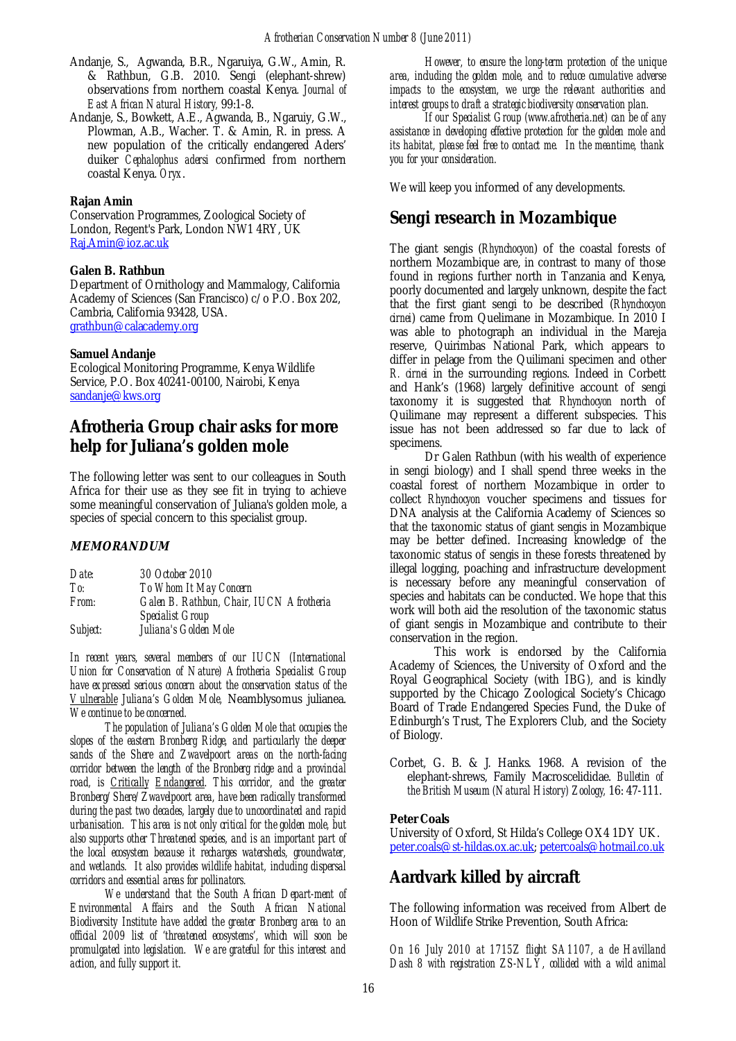- Andanje, S., Agwanda, B.R., Ngaruiya, G.W., Amin, R. & Rathbun, G.B. 2010. Sengi (elephant-shrew) observations from northern coastal Kenya*. Journal of East African Natural History,* 99:1-8.
- Andanje, S., Bowkett, A.E., Agwanda, B., Ngaruiy, G.W., Plowman, A.B., Wacher. T. & Amin, R. in press. A new population of the critically endangered Aders' duiker *Cephalophus adersi* confirmed from northern coastal Kenya. *Oryx*.

#### **Rajan Amin**

Conservation Programmes, Zoological Society of London, Regent's Park, London NW1 4RY, UK [Raj.Amin@ioz.ac.uk](mailto:Raj.Amin@ioz.ac.uk)

#### **Galen B. Rathbun**

Department of Ornithology and Mammalogy, California Academy of Sciences (San Francisco) c/o P.O. Box 202, Cambria, California 93428, USA. [grathbun@calacademy.org](mailto:grathbun@calacademy.org)

#### **Samuel Andanje**

Ecological Monitoring Programme, Kenya Wildlife Service, P.O. Box 40241-00100, Nairobi, Kenya [sandanje@kws.org](mailto:sandanje@kws.org)

### **Afrotheria Group chair asks for more help for Juliana's golden mole**

The following letter was sent to our colleagues in South Africa for their use as they see fit in trying to achieve some meaningful conservation of Juliana's golden mole, a species of special concern to this specialist group.

#### **MEMORANDUM**

| Date:    | 30 October 2010                          |
|----------|------------------------------------------|
| To:      | To Whom It May Concern                   |
| From:    | Galen B. Rathbun, Chair, IUCN Afrotheria |
|          | Specialist Group                         |
| Subject: | Juliana's Golden Mole                    |

*In recent years, several members of our IUCN (International Union for Conservation of Nature) Afrotheria Specialist Group have expressed serious concern about the conservation status of the Vulnerable Juliana's Golden Mole,* Neamblysomus julianea. *We continue to be concerned.* 

 *The population of Juliana's Golden Mole that occupies the slopes of the eastern Bronberg Ridge, and particularly the deeper sands of the Shere and Zwavelpoort areas on the north-facing corridor between the length of the Bronberg ridge and a provincial*  road, is **Critically Endangered**. This corridor, and the greater *Bronberg/Shere/Zwavelpoort area, have been radically transformed during the past two decades, largely due to uncoordinated and rapid urbanisation. This area is not only critical for the golden mole, but also supports other Threatened species, and is an important part of the local ecosystem because it recharges watersheds, groundwater, and wetlands. It also provides wildlife habitat, including dispersal corridors and essential areas for pollinators.* 

*We understand that the South African Depart-ment of Environmental Affairs and the South African National Biodiversity Institute have added the greater Bronberg area to an official 2009 list of 'threatened ecosystems', which will soon be promulgated into legislation. We are grateful for this interest and action, and fully support it.* 

*However, to ensure the long-term protection of the unique area, including the golden mole, and to reduce cumulative adverse impacts to the ecosystem, we urge the relevant authorities and interest groups to draft a strategic biodiversity conservation plan.* 

*If our Specialist Group (www.afrotheria.net) can be of any assistance in developing effective protection for the golden mole and its habitat, please feel free to contact me. In the meantime, thank you for your consideration.* 

We will keep you informed of any developments.

### **Sengi research in Mozambique**

The giant sengis (*Rhynchocyon*) of the coastal forests of northern Mozambique are, in contrast to many of those found in regions further north in Tanzania and Kenya, poorly documented and largely unknown, despite the fact that the first giant sengi to be described (*Rhynchocyon cirnei*) came from Quelimane in Mozambique. In 2010 I was able to photograph an individual in the Mareja reserve, Quirimbas National Park, which appears to differ in pelage from the Quilimani specimen and other *R. cirnei* in the surrounding regions. Indeed in Corbett and Hank's (1968) largely definitive account of sengi taxonomy it is suggested that *Rhynchocyon* north of Quilimane may represent a different subspecies. This issue has not been addressed so far due to lack of specimens.

Dr Galen Rathbun (with his wealth of experience in sengi biology) and I shall spend three weeks in the coastal forest of northern Mozambique in order to collect *Rhynchocyon* voucher specimens and tissues for DNA analysis at the California Academy of Sciences so that the taxonomic status of giant sengis in Mozambique may be better defined. Increasing knowledge of the taxonomic status of sengis in these forests threatened by illegal logging, poaching and infrastructure development is necessary before any meaningful conservation of species and habitats can be conducted. We hope that this work will both aid the resolution of the taxonomic status of giant sengis in Mozambique and contribute to their conservation in the region.

This work is endorsed by the California Academy of Sciences, the University of Oxford and the Royal Geographical Society (with IBG), and is kindly supported by the Chicago Zoological Society's Chicago Board of Trade Endangered Species Fund, the Duke of Edinburgh's Trust, The Explorers Club, and the Society of Biology.

Corbet, G. B. & J. Hanks. 1968. A revision of the elephant-shrews, Family Macroscelididae. *Bulletin of the British Museum (Natural History) Zoology,* 16: 47-111.

#### **Peter Coals**

University of Oxford, St Hilda's College OX4 1DY UK. [peter.coals@st-hildas.ox.ac.uk](mailto:peter.coals@st-hildas.ox.ac.uk); [petercoals@hotmail.co.uk](mailto:petercoals@hotmail.co.uk)

### **Aardvark killed by aircraft**

The following information was received from Albert de Hoon of Wildlife Strike Prevention, South Africa:

*On 16 July 2010 at 1715Z flight SA1107, a de Havilland Dash 8 with registration ZS-NLY, collided with a wild animal*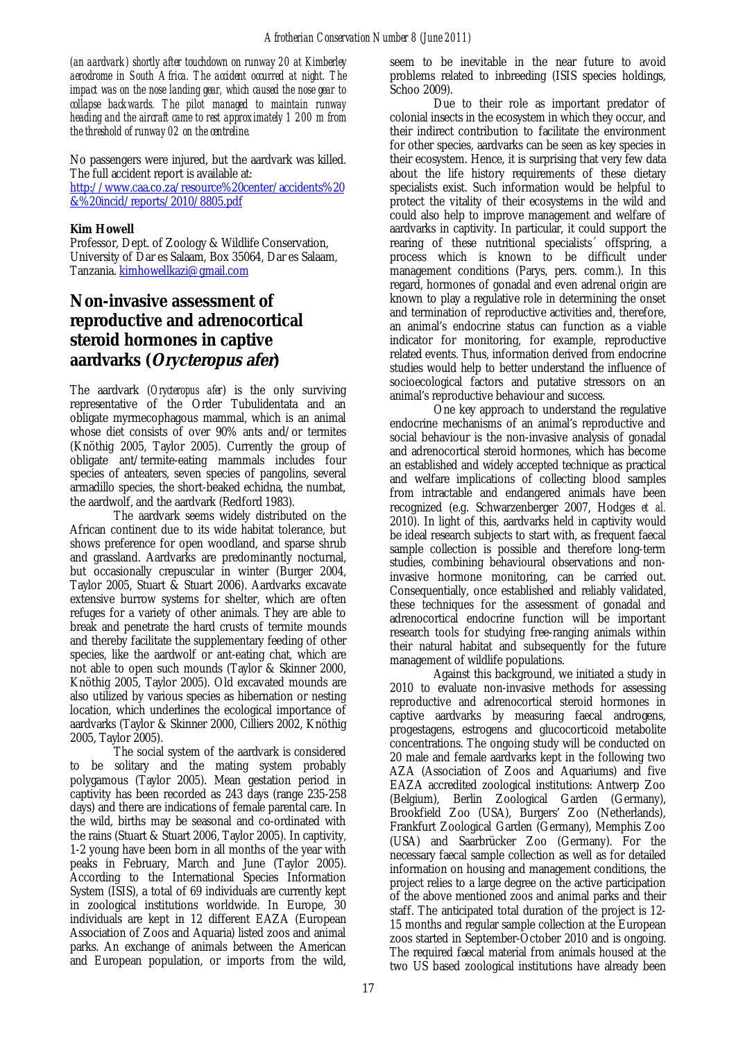*(an aardvark) shortly after touchdown on runway 20 at Kimberley aerodrome in South Africa. The accident occurred at night. The impact was on the nose landing gear, which caused the nose gear to collapse backwards. The pilot managed to maintain runway heading and the aircraft came to rest approximately 1 200 m from the threshold of runway 02 on the centreline.* 

No passengers were injured, but the aardvark was killed. The full accident report is available at:

[http://www.caa.co.za/resource%20center/accidents%2](http://www.caa.co.za/resource%20center/accidents%20&%20incid/reports/2010/8805.pdf)0 [&%20incid/reports/2010/8805.pdf](http://www.caa.co.za/resource%20center/accidents%20&%20incid/reports/2010/8805.pdf)

**Kim Howell**

Professor, Dept. of Zoology & Wildlife Conservation, University of Dar es Salaam, Box 35064, Dar es Salaam, Tanzania. [kimhowellkazi@gmail.com](mailto:kimhowellkazi@gmail.com)

## **Non-invasive assessment of reproductive and adrenocortical steroid hormones in captive aardvarks (Orycteropus afer)**

The aardvark (*Orycteropus afer*) is the only surviving representative of the Order Tubulidentata and an obligate myrmecophagous mammal, which is an animal whose diet consists of over 90% ants and/or termites (Knöthig 2005, Taylor 2005). Currently the group of obligate ant/termite-eating mammals includes four species of anteaters, seven species of pangolins, several armadillo species, the short-beaked echidna, the numbat, the aardwolf, and the aardvark (Redford 1983).

The aardvark seems widely distributed on the African continent due to its wide habitat tolerance, but shows preference for open woodland, and sparse shrub and grassland. Aardvarks are predominantly nocturnal, but occasionally crepuscular in winter (Burger 2004, Taylor 2005, Stuart & Stuart 2006). Aardvarks excavate extensive burrow systems for shelter, which are often refuges for a variety of other animals. They are able to break and penetrate the hard crusts of termite mounds and thereby facilitate the supplementary feeding of other species, like the aardwolf or ant-eating chat, which are not able to open such mounds (Taylor & Skinner 2000, Knöthig 2005, Taylor 2005). Old excavated mounds are also utilized by various species as hibernation or nesting location, which underlines the ecological importance of aardvarks (Taylor & Skinner 2000, Cilliers 2002, Knöthig 2005, Taylor 2005).

The social system of the aardvark is considered to be solitary and the mating system probably polygamous (Taylor 2005). Mean gestation period in captivity has been recorded as 243 days (range 235-258 days) and there are indications of female parental care. In the wild, births may be seasonal and co-ordinated with the rains (Stuart & Stuart 2006, Taylor 2005). In captivity, 1-2 young have been born in all months of the year with peaks in February, March and June (Taylor 2005). According to the International Species Information System (ISIS), a total of 69 individuals are currently kept in zoological institutions worldwide. In Europe, 30 individuals are kept in 12 different EAZA (European Association of Zoos and Aquaria) listed zoos and animal parks. An exchange of animals between the American and European population, or imports from the wild,

seem to be inevitable in the near future to avoid problems related to inbreeding (ISIS species holdings, Schoo 2009).

Due to their role as important predator of colonial insects in the ecosystem in which they occur, and their indirect contribution to facilitate the environment for other species, aardvarks can be seen as key species in their ecosystem. Hence, it is surprising that very few data about the life history requirements of these dietary specialists exist. Such information would be helpful to protect the vitality of their ecosystems in the wild and could also help to improve management and welfare of aardvarks in captivity. In particular, it could support the rearing of these nutritional specialists´ offspring, a process which is known to be difficult under management conditions (Parys, pers. comm.). In this regard, hormones of gonadal and even adrenal origin are known to play a regulative role in determining the onset and termination of reproductive activities and, therefore, an animal's endocrine status can function as a viable indicator for monitoring, for example, reproductive related events. Thus, information derived from endocrine studies would help to better understand the influence of socioecological factors and putative stressors on an animal's reproductive behaviour and success.

One key approach to understand the regulative endocrine mechanisms of an animal's reproductive and social behaviour is the non-invasive analysis of gonadal and adrenocortical steroid hormones, which has become an established and widely accepted technique as practical and welfare implications of collecting blood samples from intractable and endangered animals have been recognized (e.g. Schwarzenberger 2007, Hodges *et al.* 2010). In light of this, aardvarks held in captivity would be ideal research subjects to start with, as frequent faecal sample collection is possible and therefore long-term studies, combining behavioural observations and noninvasive hormone monitoring, can be carried out. Consequentially, once established and reliably validated, these techniques for the assessment of gonadal and adrenocortical endocrine function will be important research tools for studying free-ranging animals within their natural habitat and subsequently for the future management of wildlife populations.

Against this background, we initiated a study in 2010 to evaluate non-invasive methods for assessing reproductive and adrenocortical steroid hormones in captive aardvarks by measuring faecal androgens, progestagens, estrogens and glucocorticoid metabolite concentrations. The ongoing study will be conducted on 20 male and female aardvarks kept in the following two AZA (Association of Zoos and Aquariums) and five EAZA accredited zoological institutions: Antwerp Zoo (Belgium), Berlin Zoological Garden (Germany), Brookfield Zoo (USA), Burgers' Zoo (Netherlands), Frankfurt Zoological Garden (Germany), Memphis Zoo (USA) and Saarbrücker Zoo (Germany). For the necessary faecal sample collection as well as for detailed information on housing and management conditions, the project relies to a large degree on the active participation of the above mentioned zoos and animal parks and their staff. The anticipated total duration of the project is 12- 15 months and regular sample collection at the European zoos started in September-October 2010 and is ongoing. The required faecal material from animals housed at the two US based zoological institutions have already been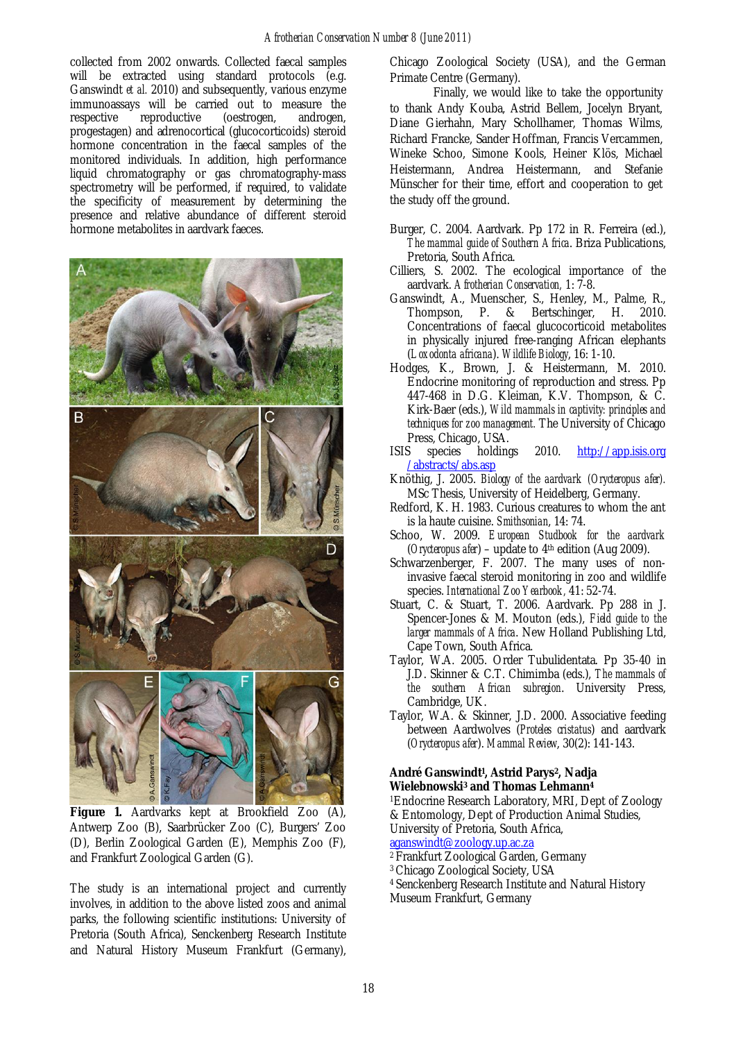collected from 2002 onwards. Collected faecal samples will be extracted using standard protocols (e.g. Ganswindt *et al.* 2010) and subsequently, various enzyme immunoassays will be carried out to measure the respective reproductive (oestrogen, androgen, respective reproductive (oestrogen, androgen, progestagen) and adrenocortical (glucocorticoids) steroid hormone concentration in the faecal samples of the monitored individuals. In addition, high performance liquid chromatography or gas chromatography-mass spectrometry will be performed, if required, to validate the specificity of measurement by determining the presence and relative abundance of different steroid hormone metabolites in aardvark faeces.



**Figure 1.** Aardvarks kept at Brookfield Zoo (A), Antwerp Zoo (B), Saarbrücker Zoo (C), Burgers' Zoo (D), Berlin Zoological Garden (E), Memphis Zoo (F), and Frankfurt Zoological Garden (G).

The study is an international project and currently involves, in addition to the above listed zoos and animal parks, the following scientific institutions: University of Pretoria (South Africa), Senckenberg Research Institute and Natural History Museum Frankfurt (Germany),

Chicago Zoological Society (USA), and the German Primate Centre (Germany).

Finally, we would like to take the opportunity to thank Andy Kouba, Astrid Bellem, Jocelyn Bryant, Diane Gierhahn, Mary Schollhamer, Thomas Wilms, Richard Francke, Sander Hoffman, Francis Vercammen, Wineke Schoo, Simone Kools, Heiner Klös, Michael Heistermann, Andrea Heistermann, and Stefanie Münscher for their time, effort and cooperation to get the study off the ground.

- Burger, C. 2004. Aardvark. Pp 172 in R. Ferreira (ed.), *The mammal guide of Southern Africa*. Briza Publications, Pretoria, South Africa.
- Cilliers, S. 2002. The ecological importance of the aardvark. *Afrotherian Conservation,* 1: 7-8.
- Ganswindt, A., Muenscher, S., Henley, M., Palme, R., Thompson, P. & Bertschinger, H. 2010. Bertschinger, H. 2010. Concentrations of faecal glucocorticoid metabolites in physically injured free-ranging African elephants (*Loxodonta africana*). *Wildlife Biology*, 16: 1-10.
- Hodges, K., Brown, J. & Heistermann, M. 2010. Endocrine monitoring of reproduction and stress. Pp 447-468 in D.G. Kleiman, K.V. Thompson, & C. Kirk-Baer (eds.), *Wild mammals in captivity: principles and techniques for zoo management.* The University of Chicago
- Press, Chicago, USA.<br>ISIS species holding species holdings 2010. http://app.isis.org /abstracts/abs.asp
- Knöthig, J. 2005. *Biology of the aardvark (Orycteropus afer).* MSc Thesis, University of Heidelberg, Germany.
- Redford, K. H. 1983. Curious creatures to whom the ant is la haute cuisine. *Smithsonian*, 14: 74.
- Schoo, W. 2009. *European Studbook for the aardvark* (*Orycteropus afer*) – update to 4th edition (Aug 2009).
- Schwarzenberger, F. 2007. The many uses of noninvasive faecal steroid monitoring in zoo and wildlife species. *International Zoo Yearbook,* 41: 52-74.
- Stuart, C. & Stuart, T. 2006. Aardvark. Pp 288 in J. Spencer-Jones & M. Mouton (eds.), *Field guide to the larger mammals of Africa*. New Holland Publishing Ltd, Cape Town, South Africa.
- Taylor, W.A. 2005. Order Tubulidentata. Pp 35-40 in J.D. Skinner & C.T. Chimimba (eds.), *The mammals of the southern African subregion*. University Press, Cambridge, UK.
- Taylor, W.A. & Skinner, J.D. 2000. Associative feeding between Aardwolves (*Proteles cristatus*) and aardvark (*Orycteropus afer*). *Mammal Review*, 30(2): 141-143.

**André Ganswindt<sup>1</sup> , Astrid Parys<sup>2</sup> , Nadja Wielebnowski<sup>3</sup> and Thomas Lehmann<sup>4</sup>** <sup>1</sup>Endocrine Research Laboratory, MRI, Dept of Zoology & Entomology, Dept of Production Animal Studies, University of Pretoria, South Africa, [aganswindt@zoology.up.ac.za](mailto:aganswindt@zoology.up.ac.za)

<sup>2</sup>Frankfurt Zoological Garden, Germany

<sup>3</sup> Chicago Zoological Society, USA

<sup>4</sup>Senckenberg Research Institute and Natural History Museum Frankfurt, Germany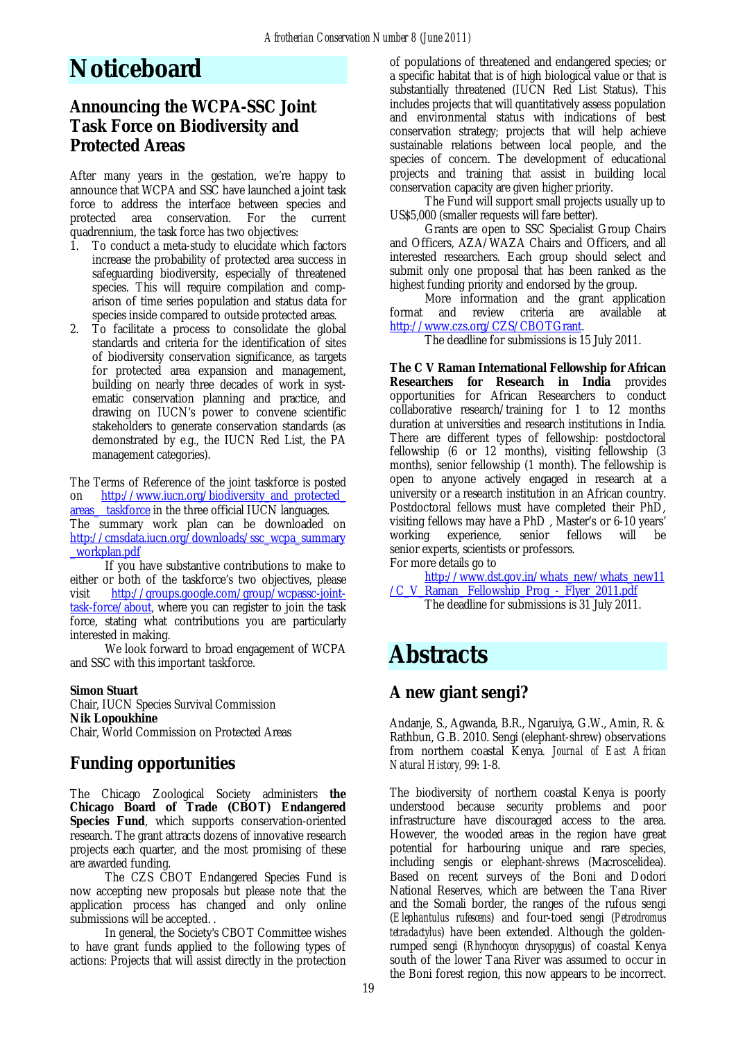## **Noticeboard**

## **Announcing the WCPA-SSC Joint Task Force on Biodiversity and Protected Areas**

After many years in the gestation, we're happy to announce that WCPA and SSC have launched a joint task force to address the interface between species and protected area conservation. For the current quadrennium, the task force has two objectives:

- 1. To conduct a meta-study to elucidate which factors increase the probability of protected area success in safeguarding biodiversity, especially of threatened species. This will require compilation and comparison of time series population and status data for species inside compared to outside protected areas.
- 2. To facilitate a process to consolidate the global standards and criteria for the identification of sites of biodiversity conservation significance, as targets for protected area expansion and management, building on nearly three decades of work in systematic conservation planning and practice, and drawing on IUCN's power to convene scientific stakeholders to generate conservation standards (as demonstrated by e.g., the IUCN Red List, the PA management categories).

The Terms of Reference of the joint taskforce is posted on [http://www.iucn.org/biodiversity\\_and\\_protected\\_](http://www.iucn.org/biodiversity_and_protected_%20areas_%20%20taskforce)  [areas\\_ taskforce](http://www.iucn.org/biodiversity_and_protected_%20areas_%20%20taskforce) in the three official IUCN languages. The summary work plan can be downloaded on [http://cmsdata.iucn.org/downloads/ssc\\_wcpa\\_summary](http://cmsdata.iucn.org/downloads/ssc_wcpa_summary_workplan.pdf) [\\_workplan.pdf](http://cmsdata.iucn.org/downloads/ssc_wcpa_summary_workplan.pdf)

If you have substantive contributions to make to either or both of the taskforce's two objectives, please visit [http://groups.google.com/group/wcpassc-joint](http://groups.google.com/group/wcpassc-joint-task-force/about)[task-force/about,](http://groups.google.com/group/wcpassc-joint-task-force/about) where you can register to join the task force, stating what contributions you are particularly interested in making.

We look forward to broad engagement of WCPA and SSC with this important taskforce.

**Simon Stuart**  Chair, IUCN Species Survival Commission **Nik Lopoukhine** Chair, World Commission on Protected Areas

## **Funding opportunities**

The Chicago Zoological Society administers **the Chicago Board of Trade (CBOT) Endangered Species Fund**, which supports conservation-oriented research. The grant attracts dozens of innovative research projects each quarter, and the most promising of these are awarded funding.

The CZS CBOT Endangered Species Fund is now accepting new proposals but please note that the application process has changed and only online submissions will be accepted. .

In general, the Society's CBOT Committee wishes to have grant funds applied to the following types of actions: Projects that will assist directly in the protection

of populations of threatened and endangered species; or a specific habitat that is of high biological value or that is substantially threatened (IUCN Red List Status). This includes projects that will quantitatively assess population and environmental status with indications of best conservation strategy; projects that will help achieve sustainable relations between local people, and the species of concern. The development of educational projects and training that assist in building local conservation capacity are given higher priority.

The Fund will support small projects usually up to US\$5,000 (smaller requests will fare better).

Grants are open to SSC Specialist Group Chairs and Officers, AZA/WAZA Chairs and Officers, and all interested researchers. Each group should select and submit only one proposal that has been ranked as the highest funding priority and endorsed by the group.

More information and the grant application format and review criteria are available at [http://www.czs.org/CZS/CBOTGrant.](http://www.czs.org/CZS/CBOTGrant) 

The deadline for submissions is 15 July 2011.

**The C V Raman International Fellowship for African Researchers for Research in India** provides opportunities for African Researchers to conduct collaborative research/training for 1 to 12 months duration at universities and research institutions in India. There are different types of fellowship: postdoctoral fellowship (6 or 12 months), visiting fellowship (3 months), senior fellowship (1 month). The fellowship is open to anyone actively engaged in research at a university or a research institution in an African country. Postdoctoral fellows must have completed their PhD, visiting fellows may have a PhD , Master's or 6-10 years' experience, senior experts, scientists or professors.

For more details go to

[http://www.dst.gov.in/whats\\_new/whats\\_new11](http://www.dst.gov.in/whats_new/whats_new11/C_V_Raman_%20Fellowship_Prog_-_Flyer_2011.pdf) [/C\\_V\\_Raman\\_ Fellowship\\_Prog\\_-\\_Flyer\\_2011.pdf](http://www.dst.gov.in/whats_new/whats_new11/C_V_Raman_%20Fellowship_Prog_-_Flyer_2011.pdf) The deadline for submissions is 31 July 2011.

## **Abstracts**

## **A new giant sengi?**

Andanje, S., Agwanda, B.R., Ngaruiya, G.W., Amin, R. & Rathbun, G.B. 2010. Sengi (elephant-shrew) observations from northern coastal Kenya*. Journal of East African Natural History,* 99: 1-8.

The biodiversity of northern coastal Kenya is poorly understood because security problems and poor infrastructure have discouraged access to the area. However, the wooded areas in the region have great potential for harbouring unique and rare species, including sengis or elephant-shrews (Macroscelidea). Based on recent surveys of the Boni and Dodori National Reserves, which are between the Tana River and the Somali border, the ranges of the rufous sengi (*Elephantulus rufescens*) and four-toed sengi (*Petrodromus tetradactylus*) have been extended. Although the goldenrumped sengi (*Rhynchocyon chrysopygus*) of coastal Kenya south of the lower Tana River was assumed to occur in the Boni forest region, this now appears to be incorrect.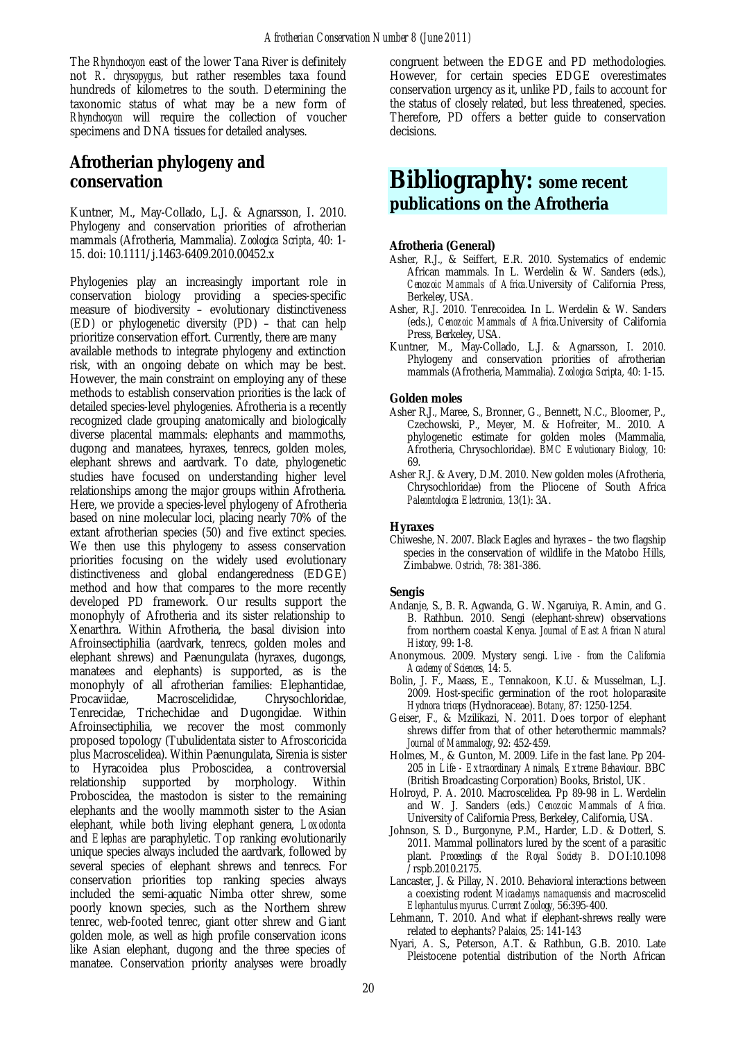The *Rhynchocyon* east of the lower Tana River is definitely not *R*. *chrysopygus*, but rather resembles taxa found hundreds of kilometres to the south. Determining the taxonomic status of what may be a new form of *Rhynchocyon* will require the collection of voucher specimens and DNA tissues for detailed analyses.

### **Afrotherian phylogeny and conservation**

Kuntner, M., May-Collado, L.J. & Agnarsson, I. 2010. Phylogeny and conservation priorities of afrotherian mammals (Afrotheria, Mammalia). *Zoologica Scripta,* 40: 1- 15. doi: 10.1111/j.1463-6409.2010.00452.x

Phylogenies play an increasingly important role in conservation biology providing a species-specific measure of biodiversity – evolutionary distinctiveness (ED) or phylogenetic diversity (PD) – that can help prioritize conservation effort. Currently, there are many available methods to integrate phylogeny and extinction risk, with an ongoing debate on which may be best. However, the main constraint on employing any of these methods to establish conservation priorities is the lack of detailed species-level phylogenies. Afrotheria is a recently recognized clade grouping anatomically and biologically diverse placental mammals: elephants and mammoths, dugong and manatees, hyraxes, tenrecs, golden moles, elephant shrews and aardvark. To date, phylogenetic studies have focused on understanding higher level relationships among the major groups within Afrotheria. Here, we provide a species-level phylogeny of Afrotheria based on nine molecular loci, placing nearly 70% of the extant afrotherian species (50) and five extinct species. We then use this phylogeny to assess conservation priorities focusing on the widely used evolutionary distinctiveness and global endangeredness (EDGE) method and how that compares to the more recently developed PD framework. Our results support the monophyly of Afrotheria and its sister relationship to Xenarthra. Within Afrotheria, the basal division into Afroinsectiphilia (aardvark, tenrecs, golden moles and elephant shrews) and Paenungulata (hyraxes, dugongs, manatees and elephants) is supported, as is the monophyly of all afrotherian families: Elephantidae, Procaviidae, Macroscelididae, Chrysochloridae, Tenrecidae, Trichechidae and Dugongidae. Within Afroinsectiphilia, we recover the most commonly proposed topology (Tubulidentata sister to Afroscoricida plus Macroscelidea). Within Paenungulata, Sirenia is sister to Hyracoidea plus Proboscidea, a controversial relationship supported by morphology. Within Proboscidea, the mastodon is sister to the remaining elephants and the woolly mammoth sister to the Asian elephant, while both living elephant genera, *Loxodonta* and *Elephas* are paraphyletic. Top ranking evolutionarily unique species always included the aardvark, followed by several species of elephant shrews and tenrecs. For conservation priorities top ranking species always included the semi-aquatic Nimba otter shrew, some poorly known species, such as the Northern shrew tenrec, web-footed tenrec, giant otter shrew and Giant golden mole, as well as high profile conservation icons like Asian elephant, dugong and the three species of manatee. Conservation priority analyses were broadly

congruent between the EDGE and PD methodologies. However, for certain species EDGE overestimates conservation urgency as it, unlike PD, fails to account for the status of closely related, but less threatened, species. Therefore, PD offers a better guide to conservation decisions.

## **Bibliography: some recent publications on the Afrotheria**

#### **Afrotheria (General)**

- Asher, R.J., & Seiffert, E.R. 2010. Systematics of endemic African mammals. In L. Werdelin & W. Sanders (eds.), *Cenozoic Mammals of Africa.*University of California Press, Berkeley, USA.
- Asher, R.J. 2010. Tenrecoidea. In L. Werdelin & W. Sanders (eds.), *Cenozoic Mammals of Africa.*University of California Press, Berkeley, USA.
- Kuntner, M., May-Collado, L.J. & Agnarsson, I. 2010. Phylogeny and conservation priorities of afrotherian mammals (Afrotheria, Mammalia). *Zoologica Scripta,* 40: 1-15.

**Golden moles** 

- Asher R.J., Maree, S., Bronner, G., Bennett, N.C., Bloomer, P., Czechowski, P., Meyer, M. & Hofreiter, M.. 2010. A phylogenetic estimate for golden moles (Mammalia, Afrotheria, Chrysochloridae). *BMC Evolutionary Biology,* 10: 69.
- Asher R.J. & Avery, D.M. 2010. New golden moles (Afrotheria, Chrysochloridae) from the Pliocene of South Africa *Paleontologica Electronica,* 13(1): 3A.

**Hyraxes** 

Chiweshe, N. 2007. Black Eagles and hyraxes – the two flagship species in the conservation of wildlife in the Matobo Hills, Zimbabwe. *Ostrich,* 78: 381-386.

#### **Sengis**

- Andanje, S., B. R. Agwanda, G. W. Ngaruiya, R. Amin, and G. B. Rathbun. 2010. Sengi (elephant-shrew) observations from northern coastal Kenya. *Journal of East African Natural History,* 99: 1-8.
- Anonymous. 2009. Mystery sengi. *Live from the California Academy of Sciences,* 14: 5.
- Bolin, J. F., Maass, E., Tennakoon, K.U. & Musselman, L.J. 2009. Host-specific germination of the root holoparasite *Hydnora triceps* (Hydnoraceae). *Botany,* 87: 1250-1254.
- Geiser, F., & Mzilikazi, N. 2011. Does torpor of elephant shrews differ from that of other heterothermic mammals? *Journal of Mammalogy*, 92: 452-459.
- Holmes, M., & Gunton, M. 2009. Life in the fast lane. Pp 204- 205 in *Life - Extraordinary Animals, Extreme Behaviour.* BBC (British Broadcasting Corporation) Books, Bristol, UK.
- Holroyd, P. A. 2010. Macroscelidea. Pp 89-98 in L. Werdelin and W. J. Sanders (eds.) *Cenozoic Mammals of Africa.*  University of California Press, Berkeley, California, USA.
- Johnson, S. D., Burgonyne, P.M., Harder, L.D. & Dotterl, S. 2011. Mammal pollinators lured by the scent of a parasitic plant. *Proceedings of the Royal Society B.* DOI:10.1098 /rspb.2010.2175.
- Lancaster, J. & Pillay, N. 2010. Behavioral interactions between a coexisting rodent *Micaelamys namaquensis* and macroscelid *Elephantulus myurus*. *Current Zoology,* 56:395-400.
- Lehmann, T. 2010. And what if elephant-shrews really were related to elephants? *Palaios,* 25: 141-143
- Nyari, A. S., Peterson, A.T. & Rathbun, G.B. 2010. Late Pleistocene potential distribution of the North African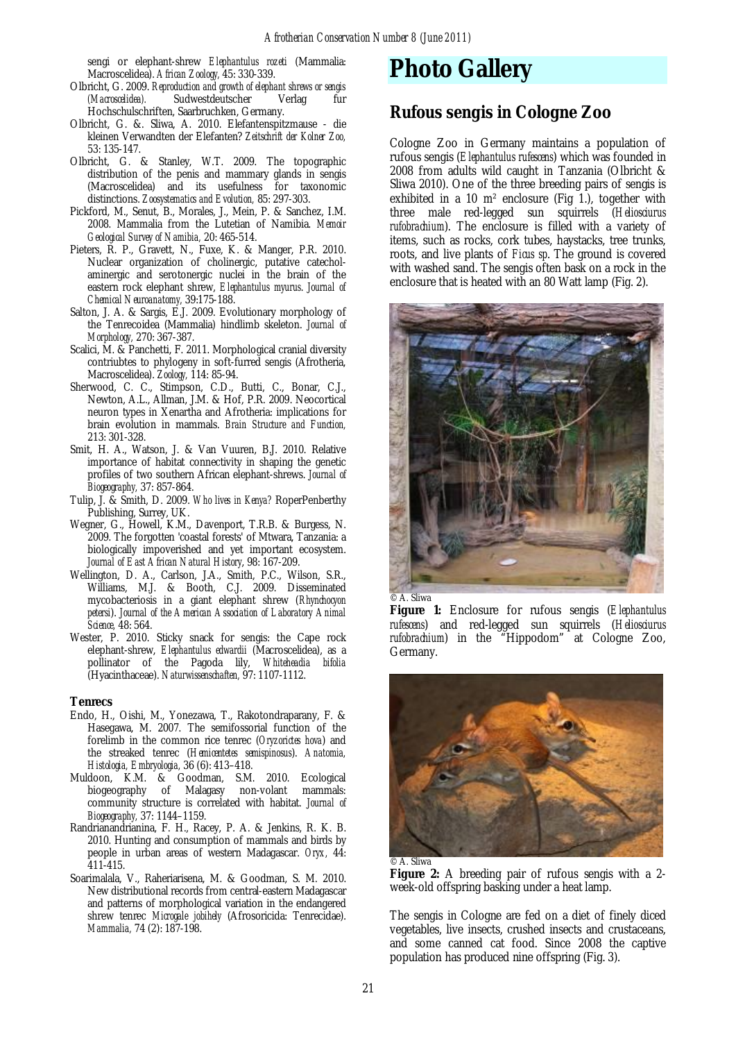sengi or elephant-shrew *Elephantulus rozeti* (Mammalia: Macroscelidea). *African Zoology,* 45: 330-339.

- Olbricht, G. 2009. *Reproduction and growth of elephant shrews or sengis (Macroscelidea).* Sudwestdeutscher Verlag fur Hochschulschriften, Saarbruchken, Germany.
- Olbricht, G. &. Sliwa, A. 2010. Elefantenspitzmause die kleinen Verwandten der Elefanten? *Zeitschrift der Kolner Zoo,*  53: 135-147.
- Olbricht, G. & Stanley, W.T. 2009. The topographic distribution of the penis and mammary glands in sengis (Macroscelidea) and its usefulness for taxonomic distinctions. *Zoosystematics and Evolution,* 85: 297-303.
- Pickford, M., Senut, B., Morales, J., Mein, P. & Sanchez, I.M. 2008. Mammalia from the Lutetian of Namibia. *Memoir Geological Survey of Namibia,* 20: 465-514.
- Pieters, R. P., Gravett, N., Fuxe, K. & Manger, P.R. 2010. Nuclear organization of cholinergic, putative catecholaminergic and serotonergic nuclei in the brain of the eastern rock elephant shrew, *Elephantulus myurus*. *Journal of Chemical Neuroanatomy,* 39:175-188.
- Salton, J. A. & Sargis, E.J. 2009. Evolutionary morphology of the Tenrecoidea (Mammalia) hindlimb skeleton. *Journal of Morphology,* 270: 367-387.
- Scalici, M. & Panchetti, F. 2011. Morphological cranial diversity contriubtes to phylogeny in soft-furred sengis (Afrotheria, Macroscelidea). *Zoology,* 114: 85-94.
- Sherwood, C. C., Stimpson, C.D., Butti, C., Bonar, C.J., Newton, A.L., Allman, J.M. & Hof, P.R. 2009. Neocortical neuron types in Xenartha and Afrotheria: implications for brain evolution in mammals. *Brain Structure and Function,*  213: 301-328.
- Smit, H. A., Watson, J. & Van Vuuren, B.J. 2010. Relative importance of habitat connectivity in shaping the genetic profiles of two southern African elephant-shrews. *Journal of Biogeography,* 37: 857-864.
- Tulip, J. & Smith, D. 2009. *Who lives in Kenya?* RoperPenberthy Publishing, Surrey, UK.
- Wegner, G., Howell, K.M., Davenport, T.R.B. & Burgess, N. 2009. The forgotten 'coastal forests' of Mtwara, Tanzania: a biologically impoverished and yet important ecosystem. *Journal of East African Natural History*, 98: 167-209.
- Wellington, D. A., Carlson, J.A., Smith, P.C., Wilson, S.R., Williams, M.J. & Booth, C.J. 2009. Disseminated mycobacteriosis in a giant elephant shrew (*Rhynchocyon petersi*). *Journal of the American Association of Laboratory Animal Science,* 48: 564.
- Wester, P. 2010. Sticky snack for sengis: the Cape rock elephant-shrew, *Elephantulus edwardii* (Macroscelidea), as a pollinator of the Pagoda lily, *Whiteheadia bifolia*  (Hyacinthaceae). *Naturwissenschaften,* 97: 1107-1112.

#### **Tenrecs**

- Endo, H., Oishi, M., Yonezawa, T., Rakotondraparany, F. & Hasegawa, M. 2007. The semifossorial function of the forelimb in the common rice tenrec (*Oryzorictes hova*) and the streaked tenrec (*Hemicentetes semispinosus*). *Anatomia, Histologia, Embryologia,* 36 (6): 413–418.
- Muldoon, K.M. & Goodman, S.M. 2010. Ecological biogeography of Malagasy non-volant mammals: community structure is correlated with habitat. *Journal of Biogeography,* 37: 1144–1159.
- Randrianandrianina, F. H., Racey, P. A. & Jenkins, R. K. B. 2010. Hunting and consumption of mammals and birds by people in urban areas of western Madagascar. *Oryx,* 44: 411-415.
- Soarimalala, V., Raheriarisena, M. & Goodman, S. M. 2010. New distributional records from central-eastern Madagascar and patterns of morphological variation in the endangered shrew tenrec *Microgale jobihely* (Afrosoricida: Tenrecidae). *Mammalia,* 74 (2): 187-198.

## **Photo Gallery**

## **Rufous sengis in Cologne Zoo**

Cologne Zoo in Germany maintains a population of rufous sengis (*Elephantulus rufescens*) which was founded in 2008 from adults wild caught in Tanzania (Olbricht & Sliwa 2010). One of the three breeding pairs of sengis is exhibited in a 10 m² enclosure (Fig 1.), together with three male red-legged sun squirrels (*Heliosciurus rufobrachium*). The enclosure is filled with a variety of items, such as rocks, cork tubes, haystacks, tree trunks, roots, and live plants of *Ficus sp*. The ground is covered with washed sand. The sengis often bask on a rock in the enclosure that is heated with an 80 Watt lamp (Fig. 2).



© A. Sliwa

**Figure 1:** Enclosure for rufous sengis (*Elephantulus rufescens*) and red-legged sun squirrels (*Heliosciurus rufobrachium*) in the "Hippodom" at Cologne Zoo, Germany.



**Figure 2:** A breeding pair of rufous sengis with a 2 week-old offspring basking under a heat lamp.

The sengis in Cologne are fed on a diet of finely diced vegetables, live insects, crushed insects and crustaceans, and some canned cat food. Since 2008 the captive population has produced nine offspring (Fig. 3).